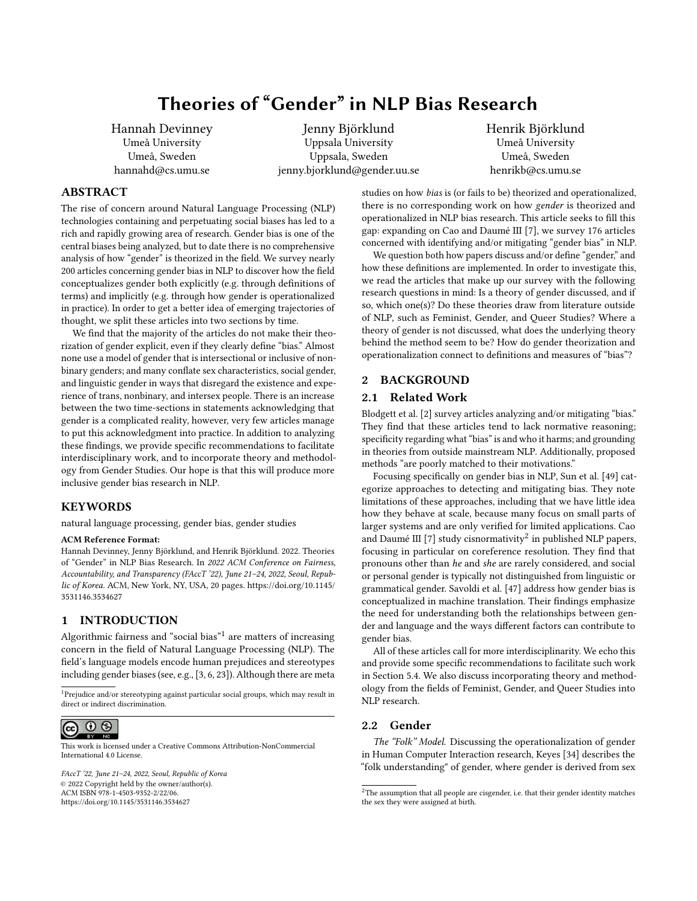Hannah Devinney Umeå University Umeå, Sweden hannahd@cs.umu.se

Jenny Björklund Uppsala University Uppsala, Sweden jenny.bjorklund@gender.uu.se Henrik Björklund Umeå University Umeå, Sweden henrikb@cs.umu.se

# ABSTRACT

The rise of concern around Natural Language Processing (NLP) technologies containing and perpetuating social biases has led to a rich and rapidly growing area of research. Gender bias is one of the central biases being analyzed, but to date there is no comprehensive analysis of how "gender" is theorized in the field. We survey nearly 200 articles concerning gender bias in NLP to discover how the field conceptualizes gender both explicitly (e.g. through definitions of terms) and implicitly (e.g. through how gender is operationalized in practice). In order to get a better idea of emerging trajectories of thought, we split these articles into two sections by time.

We find that the majority of the articles do not make their theorization of gender explicit, even if they clearly define "bias." Almost none use a model of gender that is intersectional or inclusive of nonbinary genders; and many conflate sex characteristics, social gender, and linguistic gender in ways that disregard the existence and experience of trans, nonbinary, and intersex people. There is an increase between the two time-sections in statements acknowledging that gender is a complicated reality, however, very few articles manage to put this acknowledgment into practice. In addition to analyzing these findings, we provide specific recommendations to facilitate interdisciplinary work, and to incorporate theory and methodology from Gender Studies. Our hope is that this will produce more inclusive gender bias research in NLP.

# KEYWORDS

natural language processing, gender bias, gender studies

#### ACM Reference Format:

Hannah Devinney, Jenny Björklund, and Henrik Björklund. 2022. Theories of "Gender" in NLP Bias Research. In 2022 ACM Conference on Fairness, Accountability, and Transparency (FAccT '22), June 21–24, 2022, Seoul, Republic of Korea. ACM, New York, NY, USA, [20](#page-19-0) pages. [https://doi.org/10.1145/](https://doi.org/10.1145/3531146.3534627) [3531146.3534627](https://doi.org/10.1145/3531146.3534627)

# 1 INTRODUCTION

Algorithmic fairness and "social bias" $1$  are matters of increasing concern in the field of Natural Language Processing (NLP). The field's language models encode human prejudices and stereotypes including gender biases (see, e.g., [\[3,](#page-8-0) [6,](#page-8-1) [23\]](#page-9-0)). Although there are meta

<span id="page-0-0"></span><sup>1</sup>Prejudice and/or stereotyping against particular social groups, which may result in direct or indirect discrimination.



This work is licensed under a [Creative Commons Attribution-NonCommercial](https://creativecommons.org/licenses/by-nc/4.0/) [International 4.0 License.](https://creativecommons.org/licenses/by-nc/4.0/)

FAccT '22, June 21–24, 2022, Seoul, Republic of Korea © 2022 Copyright held by the owner/author(s). ACM ISBN 978-1-4503-9352-2/22/06. <https://doi.org/10.1145/3531146.3534627>

studies on how bias is (or fails to be) theorized and operationalized, there is no corresponding work on how gender is theorized and operationalized in NLP bias research. This article seeks to fill this gap: expanding on [Cao and Daumé III](#page-8-2) [\[7\]](#page-8-2), we survey 176 articles concerned with identifying and/or mitigating "gender bias" in NLP.

We question both how papers discuss and/or define "gender," and how these definitions are implemented. In order to investigate this, we read the articles that make up our survey with the following research questions in mind: Is a theory of gender discussed, and if so, which one(s)? Do these theories draw from literature outside of NLP, such as Feminist, Gender, and Queer Studies? Where a theory of gender is not discussed, what does the underlying theory behind the method seem to be? How do gender theorization and operationalization connect to definitions and measures of "bias"?

## 2 BACKGROUND

#### 2.1 Related Work

[Blodgett et al.](#page-8-3) [\[2\]](#page-8-3) survey articles analyzing and/or mitigating "bias." They find that these articles tend to lack normative reasoning; specificity regarding what "bias" is and who it harms; and grounding in theories from outside mainstream NLP. Additionally, proposed methods "are poorly matched to their motivations."

Focusing specifically on gender bias in NLP, [Sun et al.](#page-9-1) [\[49\]](#page-9-1) categorize approaches to detecting and mitigating bias. They note limitations of these approaches, including that we have little idea how they behave at scale, because many focus on small parts of larger systems and are only verified for limited applications. [Cao](#page-8-2) [and Daumé III](#page-8-2) [\[7\]](#page-8-2) study cisnormativity<sup>[2](#page-0-1)</sup> in published NLP papers, focusing in particular on coreference resolution. They find that pronouns other than he and she are rarely considered, and social or personal gender is typically not distinguished from linguistic or grammatical gender. [Savoldi et al.](#page-9-2) [\[47\]](#page-9-2) address how gender bias is conceptualized in machine translation. Their findings emphasize the need for understanding both the relationships between gender and language and the ways different factors can contribute to gender bias.

All of these articles call for more interdisciplinarity. We echo this and provide some specific recommendations to facilitate such work in Section [5.4.](#page-8-4) We also discuss incorporating theory and methodology from the fields of Feminist, Gender, and Queer Studies into NLP research.

## 2.2 Gender

The "Folk" Model. Discussing the operationalization of gender in Human Computer Interaction research, [Keyes](#page-9-3) [\[34\]](#page-9-3) describes the "folk understanding" of gender, where gender is derived from sex

<span id="page-0-1"></span> $^2\!$  The assumption that all people are cisgender, i.e. that their gender identity matches the sex they were assigned at birth.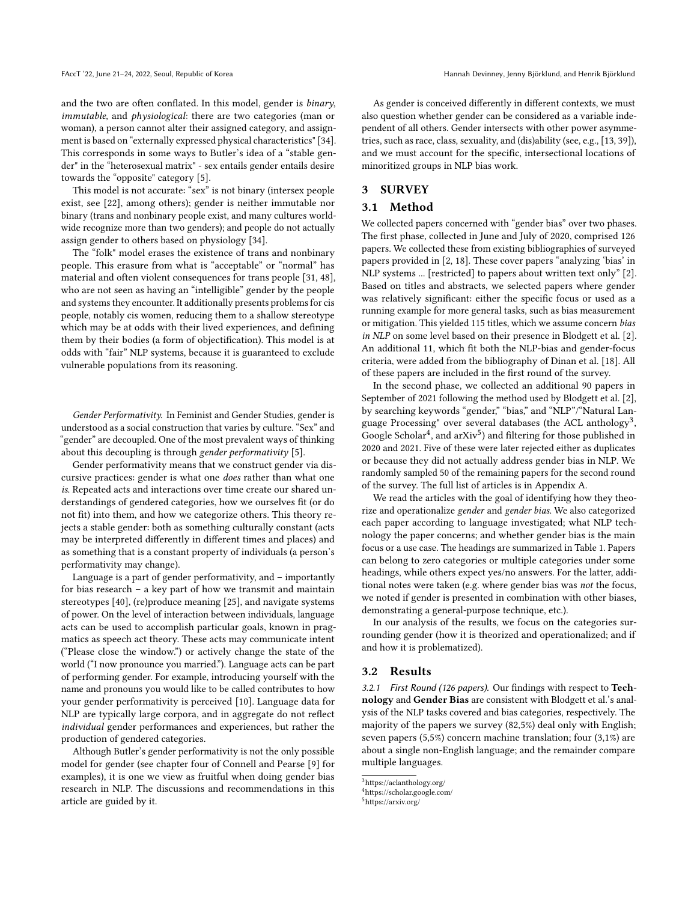and the two are often conflated. In this model, gender is binary, immutable, and physiological: there are two categories (man or woman), a person cannot alter their assigned category, and assignment is based on "externally expressed physical characteristics" [\[34\]](#page-9-3). This corresponds in some ways to [Butler'](#page-8-5)s idea of a "stable gender" in the "heterosexual matrix" - sex entails gender entails desire towards the "opposite" category [\[5\]](#page-8-5).

This model is not accurate: "sex" is not binary (intersex people exist, see [\[22\]](#page-9-4), among others); gender is neither immutable nor binary (trans and nonbinary people exist, and many cultures worldwide recognize more than two genders); and people do not actually assign gender to others based on physiology [\[34\]](#page-9-3).

The "folk" model erases the existence of trans and nonbinary people. This erasure from what is "acceptable" or "normal" has material and often violent consequences for trans people [\[31,](#page-9-5) [48\]](#page-9-6), who are not seen as having an "intelligible" gender by the people and systems they encounter. It additionally presents problems for cis people, notably cis women, reducing them to a shallow stereotype which may be at odds with their lived experiences, and defining them by their bodies (a form of objectification). This model is at odds with "fair" NLP systems, because it is guaranteed to exclude vulnerable populations from its reasoning.

Gender Performativity. In Feminist and Gender Studies, gender is understood as a social construction that varies by culture. "Sex" and "gender" are decoupled. One of the most prevalent ways of thinking about this decoupling is through gender performativity [\[5\]](#page-8-5).

Gender performativity means that we construct gender via discursive practices: gender is what one does rather than what one is. Repeated acts and interactions over time create our shared understandings of gendered categories, how we ourselves fit (or do not fit) into them, and how we categorize others. This theory rejects a stable gender: both as something culturally constant (acts may be interpreted differently in different times and places) and as something that is a constant property of individuals (a person's performativity may change).

Language is a part of gender performativity, and – importantly for bias research – a key part of how we transmit and maintain stereotypes [\[40\]](#page-9-7), (re)produce meaning [\[25\]](#page-9-8), and navigate systems of power. On the level of interaction between individuals, language acts can be used to accomplish particular goals, known in pragmatics as speech act theory. These acts may communicate intent ("Please close the window.") or actively change the state of the world ("I now pronounce you married."). Language acts can be part of performing gender. For example, introducing yourself with the name and pronouns you would like to be called contributes to how your gender performativity is perceived [\[10\]](#page-8-6). Language data for NLP are typically large corpora, and in aggregate do not reflect individual gender performances and experiences, but rather the production of gendered categories.

Although [Butler'](#page-8-5)s gender performativity is not the only possible model for gender (see chapter four of [Connell and Pearse](#page-8-7) [\[9\]](#page-8-7) for examples), it is one we view as fruitful when doing gender bias research in NLP. The discussions and recommendations in this article are guided by it.

As gender is conceived differently in different contexts, we must also question whether gender can be considered as a variable independent of all others. Gender intersects with other power asymmetries, such as race, class, sexuality, and (dis)ability (see, e.g., [\[13,](#page-9-9) [39\]](#page-9-10)), and we must account for the specific, intersectional locations of minoritized groups in NLP bias work.

# 3 SURVEY

## 3.1 Method

We collected papers concerned with "gender bias" over two phases. The first phase, collected in June and July of 2020, comprised 126 papers. We collected these from existing bibliographies of surveyed papers provided in [\[2,](#page-8-3) [18\]](#page-9-11). These cover papers "analyzing 'bias' in NLP systems ... [restricted] to papers about written text only" [\[2\]](#page-8-3). Based on titles and abstracts, we selected papers where gender was relatively significant: either the specific focus or used as a running example for more general tasks, such as bias measurement or mitigation. This yielded 115 titles, which we assume concern bias in NLP on some level based on their presence in [Blodgett et al.](#page-8-3) [\[2\]](#page-8-3). An additional 11, which fit both the NLP-bias and gender-focus criteria, were added from the bibliography of [Dinan et al.](#page-9-11) [\[18\]](#page-9-11). All of these papers are included in the first round of the survey.

In the second phase, we collected an additional 90 papers in September of 2021 following the method used by [Blodgett et al.](#page-8-3) [\[2\]](#page-8-3), by searching keywords "gender," "bias," and "NLP"/"Natural Lan-guage Processing" over several databases (the ACL anthology<sup>[3](#page-1-0)</sup>, Google Scholar<sup>[4](#page-1-1)</sup>, and arXiv<sup>[5](#page-1-2)</sup>) and filtering for those published in 2020 and 2021. Five of these were later rejected either as duplicates or because they did not actually address gender bias in NLP. We randomly sampled 50 of the remaining papers for the second round of the survey. The full list of articles is in Appendix A.

We read the articles with the goal of identifying how they theorize and operationalize gender and gender bias. We also categorized each paper according to language investigated; what NLP technology the paper concerns; and whether gender bias is the main focus or a use case. The headings are summarized in Table [1.](#page-2-0) Papers can belong to zero categories or multiple categories under some headings, while others expect yes/no answers. For the latter, additional notes were taken (e.g. where gender bias was not the focus, we noted if gender is presented in combination with other biases, demonstrating a general-purpose technique, etc.).

In our analysis of the results, we focus on the categories surrounding gender (how it is theorized and operationalized; and if and how it is problematized).

#### 3.2 Results

3.2.1 First Round (126 papers). Our findings with respect to Tech-nology and Gender Bias are consistent with [Blodgett et al.'](#page-8-3)s analysis of the NLP tasks covered and bias categories, respectively. The majority of the papers we survey (82,5%) deal only with English; seven papers (5,5%) concern machine translation; four (3,1%) are about a single non-English language; and the remainder compare multiple languages.

<span id="page-1-0"></span> $^3$ <https://aclanthology.org/>  $\,$ 

<span id="page-1-1"></span><sup>4</sup><https://scholar.google.com/>

<span id="page-1-2"></span><sup>5</sup><https://arxiv.org/>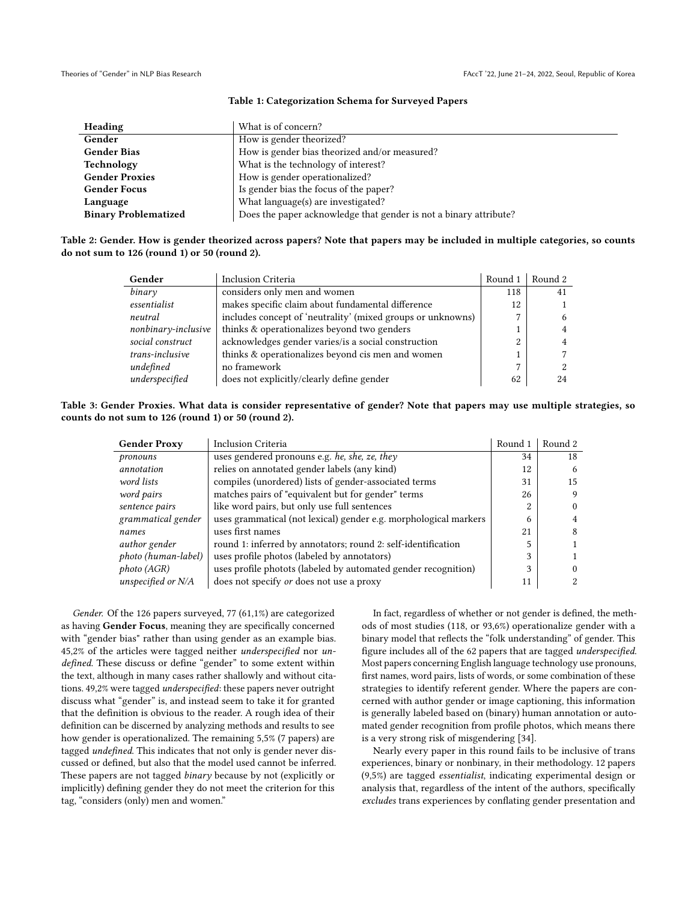<span id="page-2-0"></span>

| Heading                     | What is of concern?                                               |
|-----------------------------|-------------------------------------------------------------------|
| Gender                      | How is gender theorized?                                          |
| <b>Gender Bias</b>          | How is gender bias theorized and/or measured?                     |
| Technology                  | What is the technology of interest?                               |
| <b>Gender Proxies</b>       | How is gender operationalized?                                    |
| <b>Gender Focus</b>         | Is gender bias the focus of the paper?                            |
| Language                    | What language(s) are investigated?                                |
| <b>Binary Problematized</b> | Does the paper acknowledge that gender is not a binary attribute? |

#### Table 1: Categorization Schema for Surveyed Papers

## Table 2: Gender. How is gender theorized across papers? Note that papers may be included in multiple categories, so counts do not sum to 126 (round 1) or 50 (round 2).

| Gender              | Inclusion Criteria                                          | Round 1      | Round 2 |
|---------------------|-------------------------------------------------------------|--------------|---------|
| binary              | considers only men and women                                | 118          | 41      |
| essentialist        | makes specific claim about fundamental difference           | 12           |         |
| neutral             | includes concept of 'neutrality' (mixed groups or unknowns) | 7            |         |
| nonbinary-inclusive | thinks & operationalizes beyond two genders                 |              |         |
| social construct    | acknowledges gender varies/is a social construction         | 2            |         |
| trans-inclusive     | thinks & operationalizes beyond cis men and women           |              |         |
| undefined           | no framework                                                | $\mathbf{r}$ |         |
| underspecified      | does not explicitly/clearly define gender                   | 62           | 24      |

# Table 3: Gender Proxies. What data is consider representative of gender? Note that papers may use multiple strategies, so counts do not sum to 126 (round 1) or 50 (round 2).

| <b>Gender Proxy</b>  | <b>Inclusion Criteria</b>                                        | Round 1 | Round 2 |
|----------------------|------------------------------------------------------------------|---------|---------|
| pronouns             | uses gendered pronouns e.g. he, she, ze, they                    | 34      | 18      |
| annotation           | relies on annotated gender labels (any kind)                     | 12      | 6       |
| word lists           | compiles (unordered) lists of gender-associated terms            | 31      | 15      |
| word pairs           | matches pairs of "equivalent but for gender" terms               | 26      |         |
| sentence pairs       | like word pairs, but only use full sentences                     | 2       |         |
| grammatical gender   | uses grammatical (not lexical) gender e.g. morphological markers | 6       |         |
| names                | uses first names                                                 | 21      |         |
| <i>author</i> gender | round 1: inferred by annotators; round 2: self-identification    | 5       |         |
| photo (human-label)  | uses profile photos (labeled by annotators)                      | 3       |         |
| photo (AGR)          | uses profile photots (labeled by automated gender recognition)   | 3       |         |
| unspecified or $N/A$ | does not specify <i>or</i> does not use a proxy                  | 11      |         |

Gender. Of the 126 papers surveyed, 77 (61,1%) are categorized as having Gender Focus, meaning they are specifically concerned with "gender bias" rather than using gender as an example bias. 45,2% of the articles were tagged neither underspecified nor undefined. These discuss or define "gender" to some extent within the text, although in many cases rather shallowly and without citations. 49,2% were tagged underspecified: these papers never outright discuss what "gender" is, and instead seem to take it for granted that the definition is obvious to the reader. A rough idea of their definition can be discerned by analyzing methods and results to see how gender is operationalized. The remaining 5,5% (7 papers) are tagged undefined. This indicates that not only is gender never discussed or defined, but also that the model used cannot be inferred. These papers are not tagged binary because by not (explicitly or implicitly) defining gender they do not meet the criterion for this tag, "considers (only) men and women."

In fact, regardless of whether or not gender is defined, the methods of most studies (118, or 93,6%) operationalize gender with a binary model that reflects the "folk understanding" of gender. This figure includes all of the 62 papers that are tagged underspecified. Most papers concerning English language technology use pronouns, first names, word pairs, lists of words, or some combination of these strategies to identify referent gender. Where the papers are concerned with author gender or image captioning, this information is generally labeled based on (binary) human annotation or automated gender recognition from profile photos, which means there is a very strong risk of misgendering [\[34\]](#page-9-3).

Nearly every paper in this round fails to be inclusive of trans experiences, binary or nonbinary, in their methodology. 12 papers (9,5%) are tagged essentialist, indicating experimental design or analysis that, regardless of the intent of the authors, specifically excludes trans experiences by conflating gender presentation and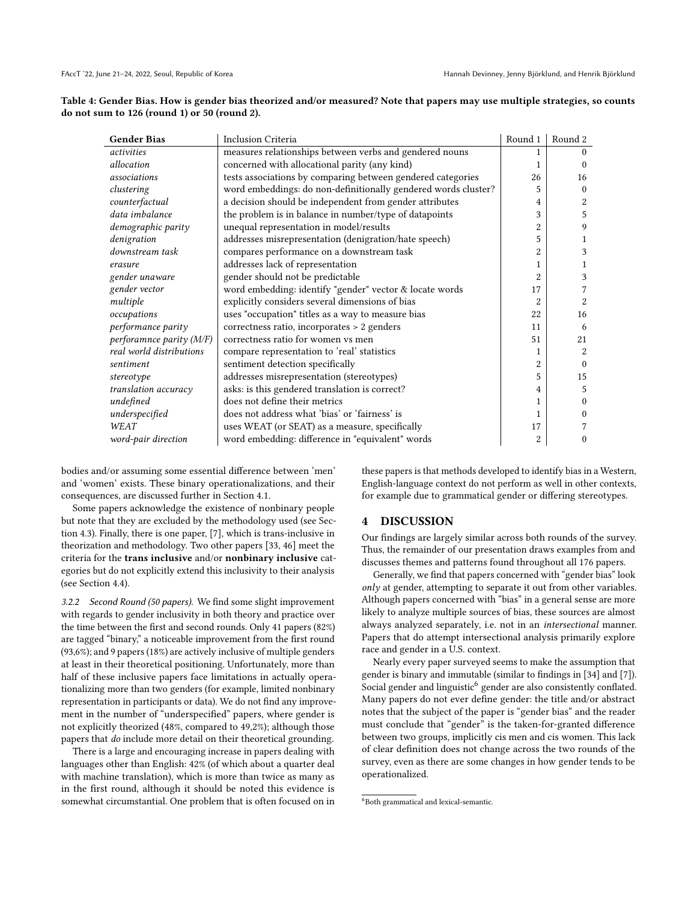| Table 4: Gender Bias. How is gender bias theorized and/or measured? Note that papers may use multiple strategies, so counts |  |
|-----------------------------------------------------------------------------------------------------------------------------|--|
| do not sum to $126$ (round 1) or $50$ (round 2).                                                                            |  |

| <b>Gender Bias</b>         | Inclusion Criteria                                             | Round 1        | Round 2        |
|----------------------------|----------------------------------------------------------------|----------------|----------------|
| activities                 | measures relationships between verbs and gendered nouns        | 1              | $\Omega$       |
| allocation                 | concerned with allocational parity (any kind)                  | 1              | $\Omega$       |
| associations               | tests associations by comparing between gendered categories    | 26             | 16             |
| clustering                 | word embeddings: do non-definitionally gendered words cluster? | 5              | $\theta$       |
| counterfactual             | a decision should be independent from gender attributes        | 4              | $\overline{2}$ |
| data imbalance             | the problem is in balance in number/type of datapoints         | 3              | 5              |
| demographic parity         | unequal representation in model/results                        | $\overline{2}$ | 9              |
| denigration                | addresses misrepresentation (denigration/hate speech)          | 5              | 1              |
| downstream task            | compares performance on a downstream task                      | 2              | 3              |
| erasure                    | addresses lack of representation                               | 1              | 1              |
| gender unaware             | gender should not be predictable                               | $\overline{2}$ | 3              |
| gender vector              | word embedding: identify "gender" vector & locate words        | 17             |                |
| multiple                   | explicitly considers several dimensions of bias                | $\overline{2}$ | $\overline{2}$ |
| occupations                | uses "occupation" titles as a way to measure bias              | 22             | 16             |
| performance parity         | correctness ratio, incorporates > 2 genders                    | 11             | 6              |
| perforamnce parity $(M/F)$ | correctness ratio for women vs men                             | 51             | 21             |
| real world distributions   | compare representation to 'real' statistics                    | 1              | $\overline{2}$ |
| sentiment                  | sentiment detection specifically                               | $\overline{2}$ | $\Omega$       |
| stereotype                 | addresses misrepresentation (stereotypes)                      | 5              | 15             |
| translation accuracy       | asks: is this gendered translation is correct?                 | 4              | 5              |
| undefined                  | does not define their metrics                                  | 1              | $\theta$       |
| underspecified             | does not address what 'bias' or 'fairness' is                  | 1              | $\Omega$       |
| WEAT                       | uses WEAT (or SEAT) as a measure, specifically                 | 17             | 7              |
| word-pair direction        | word embedding: difference in "equivalent" words               | 2              | 0              |

bodies and/or assuming some essential difference between 'men' and 'women' exists. These binary operationalizations, and their consequences, are discussed further in Section [4.1.](#page-4-0)

Some papers acknowledge the existence of nonbinary people but note that they are excluded by the methodology used (see Section [4.3\)](#page-5-0). Finally, there is one paper, [\[7\]](#page-8-2), which is trans-inclusive in theorization and methodology. Two other papers [\[33,](#page-9-12) [46\]](#page-9-13) meet the criteria for the trans inclusive and/or nonbinary inclusive categories but do not explicitly extend this inclusivity to their analysis (see Section [4.4\)](#page-6-0).

3.2.2 Second Round (50 papers). We find some slight improvement with regards to gender inclusivity in both theory and practice over the time between the first and second rounds. Only 41 papers (82%) are tagged "binary," a noticeable improvement from the first round (93,6%); and 9 papers (18%) are actively inclusive of multiple genders at least in their theoretical positioning. Unfortunately, more than half of these inclusive papers face limitations in actually operationalizing more than two genders (for example, limited nonbinary representation in participants or data). We do not find any improvement in the number of "underspecified" papers, where gender is not explicitly theorized (48%, compared to 49,2%); although those papers that do include more detail on their theoretical grounding.

There is a large and encouraging increase in papers dealing with languages other than English: 42% (of which about a quarter deal with machine translation), which is more than twice as many as in the first round, although it should be noted this evidence is somewhat circumstantial. One problem that is often focused on in these papers is that methods developed to identify bias in a Western, English-language context do not perform as well in other contexts, for example due to grammatical gender or differing stereotypes.

# 4 DISCUSSION

Our findings are largely similar across both rounds of the survey. Thus, the remainder of our presentation draws examples from and discusses themes and patterns found throughout all 176 papers.

Generally, we find that papers concerned with "gender bias" look only at gender, attempting to separate it out from other variables. Although papers concerned with "bias" in a general sense are more likely to analyze multiple sources of bias, these sources are almost always analyzed separately, i.e. not in an intersectional manner. Papers that do attempt intersectional analysis primarily explore race and gender in a U.S. context.

Nearly every paper surveyed seems to make the assumption that gender is binary and immutable (similar to findings in [\[34\]](#page-9-3) and [\[7\]](#page-8-2)). Social gender and linguistic<sup>[6](#page-3-0)</sup> gender are also consistently conflated. Many papers do not ever define gender: the title and/or abstract notes that the subject of the paper is "gender bias" and the reader must conclude that "gender" is the taken-for-granted difference between two groups, implicitly cis men and cis women. This lack of clear definition does not change across the two rounds of the survey, even as there are some changes in how gender tends to be operationalized.

<span id="page-3-0"></span><sup>6</sup>Both grammatical and lexical-semantic.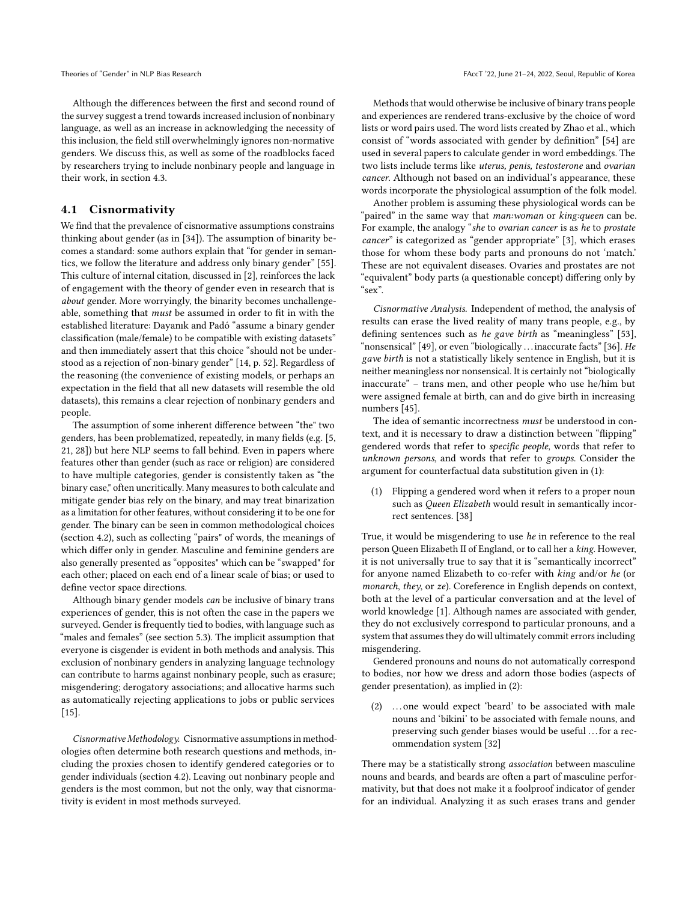Although the differences between the first and second round of the survey suggest a trend towards increased inclusion of nonbinary language, as well as an increase in acknowledging the necessity of this inclusion, the field still overwhelmingly ignores non-normative genders. We discuss this, as well as some of the roadblocks faced by researchers trying to include nonbinary people and language in their work, in section [4.3.](#page-5-0)

# <span id="page-4-0"></span>4.1 Cisnormativity

We find that the prevalence of cisnormative assumptions constrains thinking about gender (as in [\[34\]](#page-9-3)). The assumption of binarity becomes a standard: some authors explain that "for gender in semantics, we follow the literature and address only binary gender" [\[55\]](#page-10-0). This culture of internal citation, discussed in [\[2\]](#page-8-3), reinforces the lack of engagement with the theory of gender even in research that is about gender. More worryingly, the binarity becomes unchallengeable, something that must be assumed in order to fit in with the established literature: [Dayanık and Padó](#page-9-14) "assume a binary gender classification (male/female) to be compatible with existing datasets" and then immediately assert that this choice "should not be understood as a rejection of non-binary gender" [\[14,](#page-9-14) p. 52]. Regardless of the reasoning (the convenience of existing models, or perhaps an expectation in the field that all new datasets will resemble the old datasets), this remains a clear rejection of nonbinary genders and people.

The assumption of some inherent difference between "the" two genders, has been problematized, repeatedly, in many fields (e.g. [\[5,](#page-8-5) [21,](#page-9-15) [28\]](#page-9-16)) but here NLP seems to fall behind. Even in papers where features other than gender (such as race or religion) are considered to have multiple categories, gender is consistently taken as "the binary case," often uncritically. Many measures to both calculate and mitigate gender bias rely on the binary, and may treat binarization as a limitation for other features, without considering it to be one for gender. The binary can be seen in common methodological choices (section [4.2\)](#page-5-1), such as collecting "pairs" of words, the meanings of which differ only in gender. Masculine and feminine genders are also generally presented as "opposites" which can be "swapped" for each other; placed on each end of a linear scale of bias; or used to define vector space directions.

Although binary gender models can be inclusive of binary trans experiences of gender, this is not often the case in the papers we surveyed. Gender is frequently tied to bodies, with language such as "males and females" (see section [5.3\)](#page-7-0). The implicit assumption that everyone is cisgender is evident in both methods and analysis. This exclusion of nonbinary genders in analyzing language technology can contribute to harms against nonbinary people, such as erasure; misgendering; derogatory associations; and allocative harms such as automatically rejecting applications to jobs or public services [\[15\]](#page-9-17).

Cisnormative Methodology. Cisnormative assumptions in methodologies often determine both research questions and methods, including the proxies chosen to identify gendered categories or to gender individuals (section [4.2\)](#page-5-1). Leaving out nonbinary people and genders is the most common, but not the only, way that cisnormativity is evident in most methods surveyed.

Methods that would otherwise be inclusive of binary trans people and experiences are rendered trans-exclusive by the choice of word lists or word pairs used. The word lists created by [Zhao et al.,](#page-10-1) which consist of "words associated with gender by definition" [\[54\]](#page-10-1) are used in several papers to calculate gender in word embeddings. The two lists include terms like uterus, penis, testosterone and ovarian cancer. Although not based on an individual's appearance, these words incorporate the physiological assumption of the folk model.

Another problem is assuming these physiological words can be "paired" in the same way that *man:woman* or *king:queen* can be. For example, the analogy "she to ovarian cancer is as he to prostate cancer" is categorized as "gender appropriate" [\[3\]](#page-8-0), which erases those for whom these body parts and pronouns do not 'match.' These are not equivalent diseases. Ovaries and prostates are not "equivalent" body parts (a questionable concept) differing only by "sex".

Cisnormative Analysis. Independent of method, the analysis of results can erase the lived reality of many trans people, e.g., by defining sentences such as he gave birth as "meaningless" [\[53\]](#page-10-2), "nonsensical" [\[49\]](#page-9-1), or even "biologically ... inaccurate facts" [\[36\]](#page-9-18). He gave birth is not a statistically likely sentence in English, but it is neither meaningless nor nonsensical. It is certainly not "biologically inaccurate" – trans men, and other people who use he/him but were assigned female at birth, can and do give birth in increasing numbers [\[45\]](#page-9-19).

The idea of semantic incorrectness must be understood in context, and it is necessary to draw a distinction between "flipping" gendered words that refer to specific people, words that refer to unknown persons, and words that refer to groups. Consider the argument for counterfactual data substitution given in [\(1\)](#page-4-1):

<span id="page-4-1"></span>(1) Flipping a gendered word when it refers to a proper noun such as Queen Elizabeth would result in semantically incorrect sentences. [\[38\]](#page-9-20)

True, it would be misgendering to use he in reference to the real person Queen Elizabeth II of England, or to call her a king. However, it is not universally true to say that it is "semantically incorrect" for anyone named Elizabeth to co-refer with king and/or he (or monarch, they, or ze). Coreference in English depends on context, both at the level of a particular conversation and at the level of world knowledge [\[1\]](#page-8-8). Although names are associated with gender, they do not exclusively correspond to particular pronouns, and a system that assumes they do will ultimately commit errors including misgendering.

Gendered pronouns and nouns do not automatically correspond to bodies, nor how we dress and adorn those bodies (aspects of gender presentation), as implied in [\(2\)](#page-4-2):

<span id="page-4-2"></span>(2) . . . one would expect 'beard' to be associated with male nouns and 'bikini' to be associated with female nouns, and preserving such gender biases would be useful . . . for a recommendation system [\[32\]](#page-9-21)

There may be a statistically strong association between masculine nouns and beards, and beards are often a part of masculine performativity, but that does not make it a foolproof indicator of gender for an individual. Analyzing it as such erases trans and gender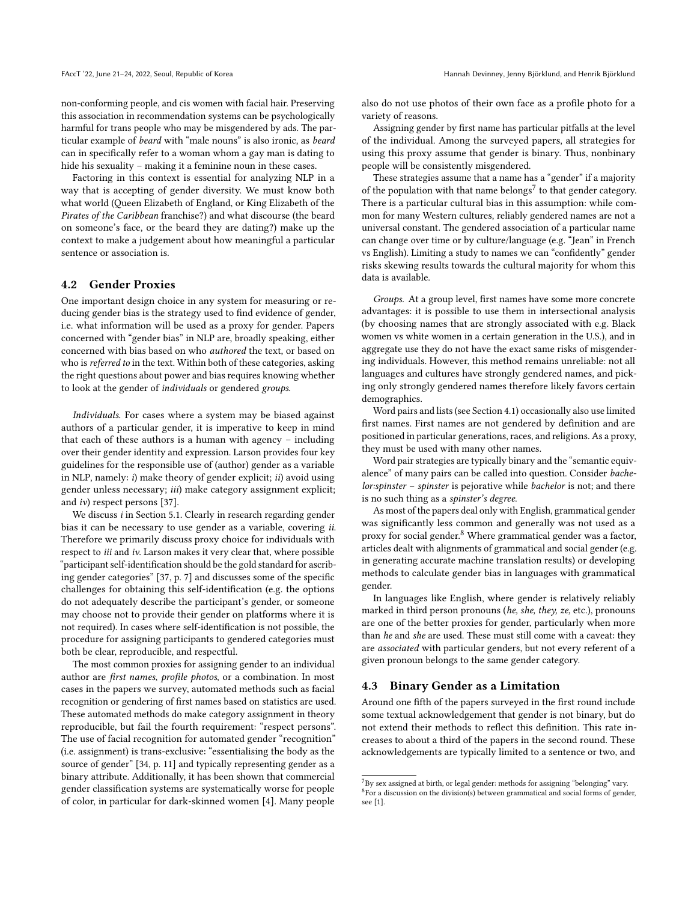non-conforming people, and cis women with facial hair. Preserving this association in recommendation systems can be psychologically harmful for trans people who may be misgendered by ads. The particular example of beard with "male nouns" is also ironic, as beard can in specifically refer to a woman whom a gay man is dating to hide his sexuality – making it a feminine noun in these cases.

Factoring in this context is essential for analyzing NLP in a way that is accepting of gender diversity. We must know both what world (Queen Elizabeth of England, or King Elizabeth of the Pirates of the Caribbean franchise?) and what discourse (the beard on someone's face, or the beard they are dating?) make up the context to make a judgement about how meaningful a particular sentence or association is.

# <span id="page-5-1"></span>4.2 Gender Proxies

One important design choice in any system for measuring or reducing gender bias is the strategy used to find evidence of gender, i.e. what information will be used as a proxy for gender. Papers concerned with "gender bias" in NLP are, broadly speaking, either concerned with bias based on who authored the text, or based on who is referred to in the text. Within both of these categories, asking the right questions about power and bias requires knowing whether to look at the gender of individuals or gendered groups.

Individuals. For cases where a system may be biased against authors of a particular gender, it is imperative to keep in mind that each of these authors is a human with agency – including over their gender identity and expression. [Larson](#page-9-22) provides four key guidelines for the responsible use of (author) gender as a variable in NLP, namely:  $i$ ) make theory of gender explicit;  $ii$ ) avoid using gender unless necessary; iii) make category assignment explicit; and iv) respect persons [\[37\]](#page-9-22).

We discuss *i* in Section [5.1.](#page-6-1) Clearly in research regarding gender bias it can be necessary to use gender as a variable, covering ii. Therefore we primarily discuss proxy choice for individuals with respect to iii and iv. [Larson](#page-9-22) makes it very clear that, where possible "participant self-identification should be the gold standard for ascribing gender categories" [\[37,](#page-9-22) p. 7] and discusses some of the specific challenges for obtaining this self-identification (e.g. the options do not adequately describe the participant's gender, or someone may choose not to provide their gender on platforms where it is not required). In cases where self-identification is not possible, the procedure for assigning participants to gendered categories must both be clear, reproducible, and respectful.

The most common proxies for assigning gender to an individual author are first names, profile photos, or a combination. In most cases in the papers we survey, automated methods such as facial recognition or gendering of first names based on statistics are used. These automated methods do make category assignment in theory reproducible, but fail the fourth requirement: "respect persons". The use of facial recognition for automated gender "recognition" (i.e. assignment) is trans-exclusive: "essentialising the body as the source of gender" [\[34,](#page-9-3) p. 11] and typically representing gender as a binary attribute. Additionally, it has been shown that commercial gender classification systems are systematically worse for people of color, in particular for dark-skinned women [\[4\]](#page-8-9). Many people

also do not use photos of their own face as a profile photo for a variety of reasons.

Assigning gender by first name has particular pitfalls at the level of the individual. Among the surveyed papers, all strategies for using this proxy assume that gender is binary. Thus, nonbinary people will be consistently misgendered.

These strategies assume that a name has a "gender" if a majority of the population with that name belongs<sup>[7](#page-5-2)</sup> to that gender category. There is a particular cultural bias in this assumption: while common for many Western cultures, reliably gendered names are not a universal constant. The gendered association of a particular name can change over time or by culture/language (e.g. "Jean" in French vs English). Limiting a study to names we can "confidently" gender risks skewing results towards the cultural majority for whom this data is available.

Groups. At a group level, first names have some more concrete advantages: it is possible to use them in intersectional analysis (by choosing names that are strongly associated with e.g. Black women vs white women in a certain generation in the U.S.), and in aggregate use they do not have the exact same risks of misgendering individuals. However, this method remains unreliable: not all languages and cultures have strongly gendered names, and picking only strongly gendered names therefore likely favors certain demographics.

Word pairs and lists (see Section [4.1\)](#page-4-0) occasionally also use limited first names. First names are not gendered by definition and are positioned in particular generations, races, and religions. As a proxy, they must be used with many other names.

Word pair strategies are typically binary and the "semantic equivalence" of many pairs can be called into question. Consider bachelor:spinster – spinster is pejorative while bachelor is not; and there is no such thing as a spinster's degree.

As most of the papers deal only with English, grammatical gender was significantly less common and generally was not used as a proxy for social gender.<sup>[8](#page-5-3)</sup> Where grammatical gender was a factor, articles dealt with alignments of grammatical and social gender (e.g. in generating accurate machine translation results) or developing methods to calculate gender bias in languages with grammatical gender.

In languages like English, where gender is relatively reliably marked in third person pronouns (he, she, they, ze, etc.), pronouns are one of the better proxies for gender, particularly when more than he and she are used. These must still come with a caveat: they are associated with particular genders, but not every referent of a given pronoun belongs to the same gender category.

# <span id="page-5-0"></span>4.3 Binary Gender as a Limitation

Around one fifth of the papers surveyed in the first round include some textual acknowledgement that gender is not binary, but do not extend their methods to reflect this definition. This rate increases to about a third of the papers in the second round. These acknowledgements are typically limited to a sentence or two, and

<span id="page-5-3"></span><span id="page-5-2"></span> ${\rm ^7Sy}$  sex assigned at birth, or legal gender: methods for assigning "belonging" vary. <sup>8</sup>For a discussion on the division(s) between grammatical and social forms of gender, see [\[1\]](#page-8-8).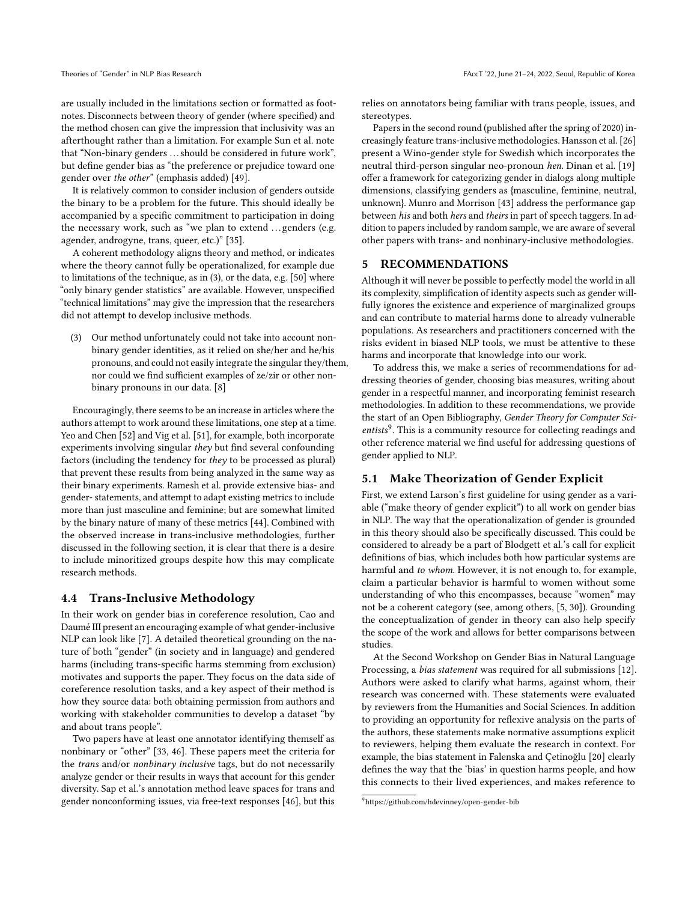are usually included in the limitations section or formatted as footnotes. Disconnects between theory of gender (where specified) and the method chosen can give the impression that inclusivity was an afterthought rather than a limitation. For example [Sun et al.](#page-9-1) note that "Non-binary genders . . . should be considered in future work", but define gender bias as "the preference or prejudice toward one gender over the other" (emphasis added) [\[49\]](#page-9-1).

It is relatively common to consider inclusion of genders outside the binary to be a problem for the future. This should ideally be accompanied by a specific commitment to participation in doing the necessary work, such as "we plan to extend ... genders (e.g. agender, androgyne, trans, queer, etc.)" [\[35\]](#page-9-23).

A coherent methodology aligns theory and method, or indicates where the theory cannot fully be operationalized, for example due to limitations of the technique, as in [\(3\)](#page-6-2), or the data, e.g. [\[50\]](#page-9-24) where "only binary gender statistics" are available. However, unspecified "technical limitations" may give the impression that the researchers did not attempt to develop inclusive methods.

<span id="page-6-2"></span>(3) Our method unfortunately could not take into account nonbinary gender identities, as it relied on she/her and he/his pronouns, and could not easily integrate the singular they/them, nor could we find sufficient examples of ze/zir or other nonbinary pronouns in our data. [\[8\]](#page-8-10)

Encouragingly, there seems to be an increase in articles where the authors attempt to work around these limitations, one step at a time. [Yeo and Chen](#page-10-3) [\[52\]](#page-10-3) and [Vig et al.](#page-9-25) [\[51\]](#page-9-25), for example, both incorporate experiments involving singular they but find several confounding factors (including the tendency for they to be processed as plural) that prevent these results from being analyzed in the same way as their binary experiments. [Ramesh et al.](#page-9-26) provide extensive bias- and gender- statements, and attempt to adapt existing metrics to include more than just masculine and feminine; but are somewhat limited by the binary nature of many of these metrics [\[44\]](#page-9-26). Combined with the observed increase in trans-inclusive methodologies, further discussed in the following section, it is clear that there is a desire to include minoritized groups despite how this may complicate research methods.

#### <span id="page-6-0"></span>4.4 Trans-Inclusive Methodology

In their work on gender bias in coreference resolution, [Cao and](#page-8-2) [Daumé III](#page-8-2) present an encouraging example of what gender-inclusive NLP can look like [\[7\]](#page-8-2). A detailed theoretical grounding on the nature of both "gender" (in society and in language) and gendered harms (including trans-specific harms stemming from exclusion) motivates and supports the paper. They focus on the data side of coreference resolution tasks, and a key aspect of their method is how they source data: both obtaining permission from authors and working with stakeholder communities to develop a dataset "by and about trans people".

Two papers have at least one annotator identifying themself as nonbinary or "other" [\[33,](#page-9-12) [46\]](#page-9-13). These papers meet the criteria for the trans and/or nonbinary inclusive tags, but do not necessarily analyze gender or their results in ways that account for this gender diversity. [Sap et al.'](#page-9-13)s annotation method leave spaces for trans and gender nonconforming issues, via free-text responses [\[46\]](#page-9-13), but this relies on annotators being familiar with trans people, issues, and stereotypes.

Papers in the second round (published after the spring of 2020) increasingly feature trans-inclusive methodologies. [Hansson et al.\[26\]](#page-9-27) present a Wino-gender style for Swedish which incorporates the neutral third-person singular neo-pronoun hen. [Dinan et al.](#page-9-28) [\[19\]](#page-9-28) offer a framework for categorizing gender in dialogs along multiple dimensions, classifying genders as {masculine, feminine, neutral, unknown}. [Munro and Morrison](#page-9-29) [\[43\]](#page-9-29) address the performance gap between his and both hers and theirs in part of speech taggers. In addition to papers included by random sample, we are aware of several other papers with trans- and nonbinary-inclusive methodologies.

# 5 RECOMMENDATIONS

Although it will never be possible to perfectly model the world in all its complexity, simplification of identity aspects such as gender willfully ignores the existence and experience of marginalized groups and can contribute to material harms done to already vulnerable populations. As researchers and practitioners concerned with the risks evident in biased NLP tools, we must be attentive to these harms and incorporate that knowledge into our work.

To address this, we make a series of recommendations for addressing theories of gender, choosing bias measures, writing about gender in a respectful manner, and incorporating feminist research methodologies. In addition to these recommendations, we provide the start of an Open Bibliography, Gender Theory for Computer Sci-entists<sup>[9](#page-6-3)</sup>. This is a community resource for collecting readings and other reference material we find useful for addressing questions of gender applied to NLP.

# <span id="page-6-1"></span>5.1 Make Theorization of Gender Explicit

First, we extend [Larson'](#page-9-22)s first guideline for using gender as a variable ("make theory of gender explicit") to all work on gender bias in NLP. The way that the operationalization of gender is grounded in this theory should also be specifically discussed. This could be considered to already be a part of [Blodgett et al.'](#page-8-3)s call for explicit definitions of bias, which includes both how particular systems are harmful and to whom. However, it is not enough to, for example, claim a particular behavior is harmful to women without some understanding of who this encompasses, because "women" may not be a coherent category (see, among others, [\[5,](#page-8-5) [30\]](#page-9-30)). Grounding the conceptualization of gender in theory can also help specify the scope of the work and allows for better comparisons between studies.

At the Second Workshop on Gender Bias in Natural Language Processing, a bias statement was required for all submissions [\[12\]](#page-9-31). Authors were asked to clarify what harms, against whom, their research was concerned with. These statements were evaluated by reviewers from the Humanities and Social Sciences. In addition to providing an opportunity for reflexive analysis on the parts of the authors, these statements make normative assumptions explicit to reviewers, helping them evaluate the research in context. For example, the bias statement in [Falenska and Çetinoğlu](#page-9-32) [\[20\]](#page-9-32) clearly defines the way that the 'bias' in question harms people, and how this connects to their lived experiences, and makes reference to

<span id="page-6-3"></span><sup>9</sup><https://github.com/hdevinney/open-gender-bib>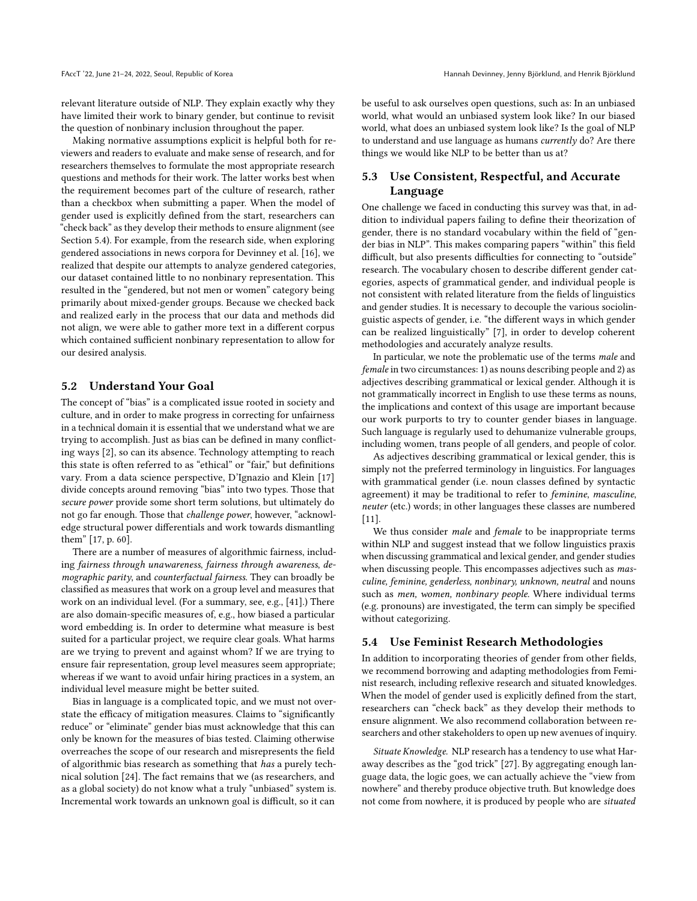relevant literature outside of NLP. They explain exactly why they have limited their work to binary gender, but continue to revisit the question of nonbinary inclusion throughout the paper.

Making normative assumptions explicit is helpful both for reviewers and readers to evaluate and make sense of research, and for researchers themselves to formulate the most appropriate research questions and methods for their work. The latter works best when the requirement becomes part of the culture of research, rather than a checkbox when submitting a paper. When the model of gender used is explicitly defined from the start, researchers can "check back" as they develop their methods to ensure alignment (see Section [5.4\)](#page-7-1). For example, from the research side, when exploring gendered associations in news corpora for [Devinney et al.](#page-9-33) [\[16\]](#page-9-33), we realized that despite our attempts to analyze gendered categories, our dataset contained little to no nonbinary representation. This resulted in the "gendered, but not men or women" category being primarily about mixed-gender groups. Because we checked back and realized early in the process that our data and methods did not align, we were able to gather more text in a different corpus which contained sufficient nonbinary representation to allow for our desired analysis.

### 5.2 Understand Your Goal

The concept of "bias" is a complicated issue rooted in society and culture, and in order to make progress in correcting for unfairness in a technical domain it is essential that we understand what we are trying to accomplish. Just as bias can be defined in many conflicting ways [\[2\]](#page-8-3), so can its absence. Technology attempting to reach this state is often referred to as "ethical" or "fair," but definitions vary. From a data science perspective, [D'Ignazio and Klein](#page-9-34) [\[17\]](#page-9-34) divide concepts around removing "bias" into two types. Those that secure power provide some short term solutions, but ultimately do not go far enough. Those that challenge power, however, "acknowledge structural power differentials and work towards dismantling them" [\[17,](#page-9-34) p. 60].

There are a number of measures of algorithmic fairness, including fairness through unawareness, fairness through awareness, demographic parity, and counterfactual fairness. They can broadly be classified as measures that work on a group level and measures that work on an individual level. (For a summary, see, e.g., [\[41\]](#page-9-35).) There are also domain-specific measures of, e.g., how biased a particular word embedding is. In order to determine what measure is best suited for a particular project, we require clear goals. What harms are we trying to prevent and against whom? If we are trying to ensure fair representation, group level measures seem appropriate; whereas if we want to avoid unfair hiring practices in a system, an individual level measure might be better suited.

Bias in language is a complicated topic, and we must not overstate the efficacy of mitigation measures. Claims to "significantly reduce" or "eliminate" gender bias must acknowledge that this can only be known for the measures of bias tested. Claiming otherwise overreaches the scope of our research and misrepresents the field of algorithmic bias research as something that has a purely technical solution [\[24\]](#page-9-36). The fact remains that we (as researchers, and as a global society) do not know what a truly "unbiased" system is. Incremental work towards an unknown goal is difficult, so it can

be useful to ask ourselves open questions, such as: In an unbiased world, what would an unbiased system look like? In our biased world, what does an unbiased system look like? Is the goal of NLP to understand and use language as humans currently do? Are there things we would like NLP to be better than us at?

# <span id="page-7-0"></span>5.3 Use Consistent, Respectful, and Accurate Language

One challenge we faced in conducting this survey was that, in addition to individual papers failing to define their theorization of gender, there is no standard vocabulary within the field of "gender bias in NLP". This makes comparing papers "within" this field difficult, but also presents difficulties for connecting to "outside" research. The vocabulary chosen to describe different gender categories, aspects of grammatical gender, and individual people is not consistent with related literature from the fields of linguistics and gender studies. It is necessary to decouple the various sociolinguistic aspects of gender, i.e. "the different ways in which gender can be realized linguistically" [\[7\]](#page-8-2), in order to develop coherent methodologies and accurately analyze results.

In particular, we note the problematic use of the terms male and female in two circumstances: 1) as nouns describing people and 2) as adjectives describing grammatical or lexical gender. Although it is not grammatically incorrect in English to use these terms as nouns, the implications and context of this usage are important because our work purports to try to counter gender biases in language. Such language is regularly used to dehumanize vulnerable groups, including women, trans people of all genders, and people of color.

As adjectives describing grammatical or lexical gender, this is simply not the preferred terminology in linguistics. For languages with grammatical gender (i.e. noun classes defined by syntactic agreement) it may be traditional to refer to feminine, masculine, neuter (etc.) words; in other languages these classes are numbered  $[11]$ .

We thus consider male and female to be inappropriate terms within NLP and suggest instead that we follow linguistics praxis when discussing grammatical and lexical gender, and gender studies when discussing people. This encompasses adjectives such as masculine, feminine, genderless, nonbinary, unknown, neutral and nouns such as men, women, nonbinary people. Where individual terms (e.g. pronouns) are investigated, the term can simply be specified without categorizing.

#### 5.4 Use Feminist Research Methodologies

In addition to incorporating theories of gender from other fields, we recommend borrowing and adapting methodologies from Feminist research, including reflexive research and situated knowledges. When the model of gender used is explicitly defined from the start, researchers can "check back" as they develop their methods to ensure alignment. We also recommend collaboration between researchers and other stakeholders to open up new avenues of inquiry.

<span id="page-7-1"></span>Situate Knowledge. NLP research has a tendency to use what [Har](#page-9-38)[away](#page-9-38) describes as the "god trick" [\[27\]](#page-9-38). By aggregating enough language data, the logic goes, we can actually achieve the "view from nowhere" and thereby produce objective truth. But knowledge does not come from nowhere, it is produced by people who are situated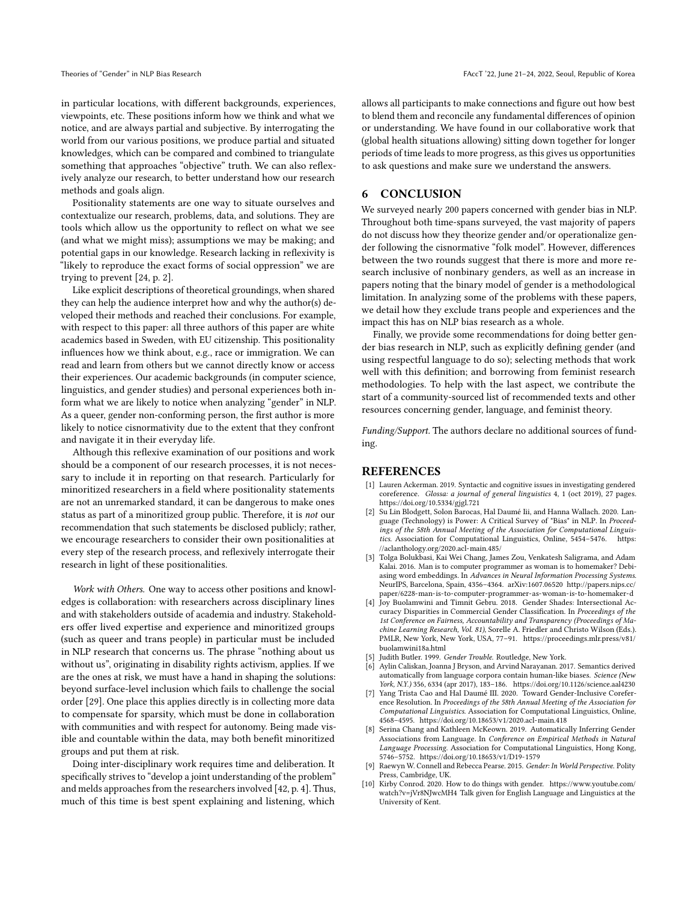in particular locations, with different backgrounds, experiences, viewpoints, etc. These positions inform how we think and what we notice, and are always partial and subjective. By interrogating the world from our various positions, we produce partial and situated knowledges, which can be compared and combined to triangulate something that approaches "objective" truth. We can also reflexively analyze our research, to better understand how our research methods and goals align.

Positionality statements are one way to situate ourselves and contextualize our research, problems, data, and solutions. They are tools which allow us the opportunity to reflect on what we see (and what we might miss); assumptions we may be making; and potential gaps in our knowledge. Research lacking in reflexivity is "likely to reproduce the exact forms of social oppression" we are trying to prevent [\[24,](#page-9-36) p. 2].

Like explicit descriptions of theoretical groundings, when shared they can help the audience interpret how and why the author(s) developed their methods and reached their conclusions. For example, with respect to this paper: all three authors of this paper are white academics based in Sweden, with EU citizenship. This positionality influences how we think about, e.g., race or immigration. We can read and learn from others but we cannot directly know or access their experiences. Our academic backgrounds (in computer science, linguistics, and gender studies) and personal experiences both inform what we are likely to notice when analyzing "gender" in NLP. As a queer, gender non-conforming person, the first author is more likely to notice cisnormativity due to the extent that they confront and navigate it in their everyday life.

Although this reflexive examination of our positions and work should be a component of our research processes, it is not necessary to include it in reporting on that research. Particularly for minoritized researchers in a field where positionality statements are not an unremarked standard, it can be dangerous to make ones status as part of a minoritized group public. Therefore, it is not our recommendation that such statements be disclosed publicly; rather, we encourage researchers to consider their own positionalities at every step of the research process, and reflexively interrogate their research in light of these positionalities.

<span id="page-8-4"></span>Work with Others. One way to access other positions and knowledges is collaboration: with researchers across disciplinary lines and with stakeholders outside of academia and industry. Stakeholders offer lived expertise and experience and minoritized groups (such as queer and trans people) in particular must be included in NLP research that concerns us. The phrase "nothing about us without us", originating in disability rights activism, applies. If we are the ones at risk, we must have a hand in shaping the solutions: beyond surface-level inclusion which fails to challenge the social order [\[29\]](#page-9-39). One place this applies directly is in collecting more data to compensate for sparsity, which must be done in collaboration with communities and with respect for autonomy. Being made visible and countable within the data, may both benefit minoritized groups and put them at risk.

Doing inter-disciplinary work requires time and deliberation. It specifically strives to "develop a joint understanding of the problem" and melds approaches from the researchers involved [\[42,](#page-9-40) p. 4]. Thus, much of this time is best spent explaining and listening, which

allows all participants to make connections and figure out how best to blend them and reconcile any fundamental differences of opinion or understanding. We have found in our collaborative work that (global health situations allowing) sitting down together for longer periods of time leads to more progress, as this gives us opportunities to ask questions and make sure we understand the answers.

# 6 CONCLUSION

We surveyed nearly 200 papers concerned with gender bias in NLP. Throughout both time-spans surveyed, the vast majority of papers do not discuss how they theorize gender and/or operationalize gender following the cisnormative "folk model". However, differences between the two rounds suggest that there is more and more research inclusive of nonbinary genders, as well as an increase in papers noting that the binary model of gender is a methodological limitation. In analyzing some of the problems with these papers, we detail how they exclude trans people and experiences and the impact this has on NLP bias research as a whole.

Finally, we provide some recommendations for doing better gender bias research in NLP, such as explicitly defining gender (and using respectful language to do so); selecting methods that work well with this definition; and borrowing from feminist research methodologies. To help with the last aspect, we contribute the start of a community-sourced list of recommended texts and other resources concerning gender, language, and feminist theory.

Funding/Support. The authors declare no additional sources of funding.

#### REFERENCES

- <span id="page-8-8"></span>[1] Lauren Ackerman. 2019. Syntactic and cognitive issues in investigating gendered coreference. Glossa: a journal of general linguistics 4, 1 (oct 2019), 27 pages. <https://doi.org/10.5334/gjgl.721>
- <span id="page-8-3"></span>[2] Su Lin Blodgett, Solon Barocas, Hal Daumé Iii, and Hanna Wallach. 2020. Language (Technology) is Power: A Critical Survey of "Bias" in NLP. In Proceedings of the 58th Annual Meeting of the Association for Computational Linguistics. Association for Computational Linguistics, Online, 5454–5476. [https:](https://aclanthology.org/2020.acl-main.485/) [//aclanthology.org/2020.acl-main.485/](https://aclanthology.org/2020.acl-main.485/)
- <span id="page-8-0"></span>[3] Tolga Bolukbasi, Kai Wei Chang, James Zou, Venkatesh Saligrama, and Adam Kalai. 2016. Man is to computer programmer as woman is to homemaker? Debiasing word embeddings. In Advances in Neural Information Processing Systems. NeurIPS, Barcelona, Spain, 4356–4364. arXiv[:1607.06520](https://arxiv.org/abs/1607.06520) [http://papers.nips.cc/](http://papers.nips.cc/paper/6228-man-is-to-computer-programmer-as-woman-is-to-homemaker-d) [paper/6228-man-is-to-computer-programmer-as-woman-is-to-homemaker-d](http://papers.nips.cc/paper/6228-man-is-to-computer-programmer-as-woman-is-to-homemaker-d)
- <span id="page-8-9"></span>[4] Joy Buolamwini and Timnit Gebru. 2018. Gender Shades: Intersectional Accuracy Disparities in Commercial Gender Classification. In Proceedings of the 1st Conference on Fairness, Accountability and Transparency (Proceedings of Machine Learning Research, Vol. 81), Sorelle A. Friedler and Christo Wilson (Eds.). PMLR, New York, New York, USA, 77–91. [https://proceedings.mlr.press/v81/](https://proceedings.mlr.press/v81/buolamwini18a.html) [buolamwini18a.html](https://proceedings.mlr.press/v81/buolamwini18a.html)
- <span id="page-8-5"></span>[5] Judith Butler. 1999. Gender Trouble. Routledge, New York.
- <span id="page-8-1"></span>Aylin Caliskan, Joanna J Bryson, and Arvind Narayanan. 2017. Semantics derived automatically from language corpora contain human-like biases. Science (New York, N.Y.) 356, 6334 (apr 2017), 183–186.<https://doi.org/10.1126/science.aal4230>
- <span id="page-8-2"></span>Yang Trista Cao and Hal Daumé III. 2020. Toward Gender-Inclusive Coreference Resolution. In Proceedings of the 58th Annual Meeting of the Association for Computational Linguistics. Association for Computational Linguistics, Online, 4568–4595.<https://doi.org/10.18653/v1/2020.acl-main.418>
- <span id="page-8-10"></span>[8] Serina Chang and Kathleen McKeown. 2019. Automatically Inferring Gender Associations from Language. In Conference on Empirical Methods in Natural Language Processing. Association for Computational Linguistics, Hong Kong, 5746–5752.<https://doi.org/10.18653/v1/D19-1579>
- <span id="page-8-7"></span>[9] Raewyn W. Connell and Rebecca Pearse. 2015. Gender: In World Perspective. Polity Press, Cambridge, UK.
- <span id="page-8-6"></span>[10] Kirby Conrod. 2020. How to do things with gender. [https://www.youtube.com/](https://www.youtube.com/watch?v=jVr8NJwcMH4) [watch?v=jVr8NJwcMH4](https://www.youtube.com/watch?v=jVr8NJwcMH4) Talk given for English Language and Linguistics at the University of Kent.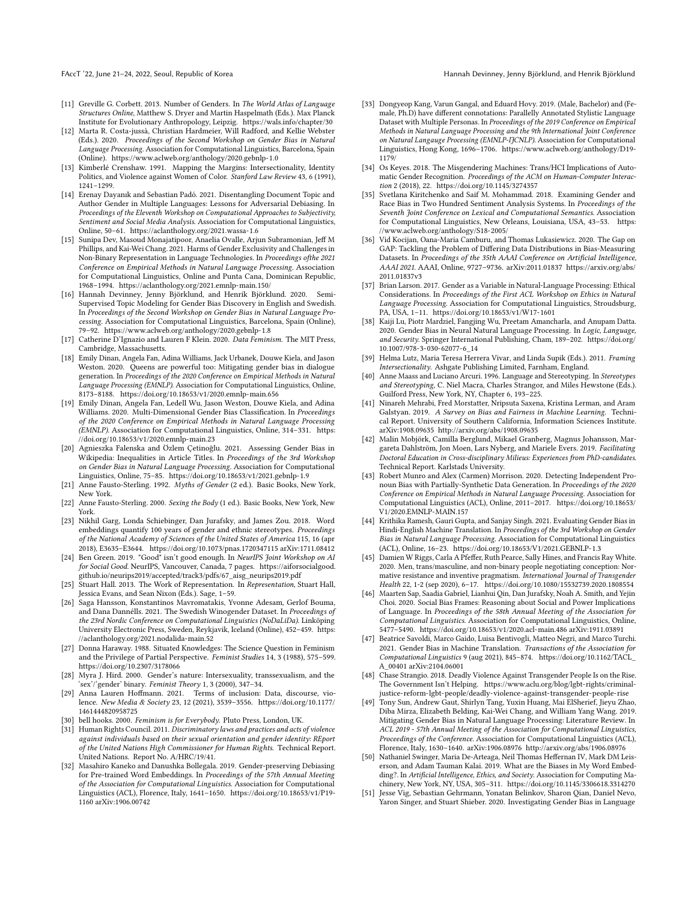FAccT '22, June 21-24, 2022, Seoul, Republic of Korea Hannah Devinney, Jenny Björklund, and Henrik Björklund and Henrik Björklund

- <span id="page-9-37"></span>[11] Greville G. Corbett. 2013. Number of Genders. In The World Atlas of Language Structures Online, Matthew S. Dryer and Martin Haspelmath (Eds.). Max Planck Institute for Evolutionary Anthropology, Leipzig.<https://wals.info/chapter/30>
- <span id="page-9-31"></span>[12] Marta R. Costa-jussà, Christian Hardmeier, Will Radford, and Kellie Webster (Eds.). 2020. Proceedings of the Second Workshop on Gender Bias in Natural Language Processing. Association for Computational Linguistics, Barcelona, Spain (Online).<https://www.aclweb.org/anthology/2020.gebnlp-1.0>
- <span id="page-9-9"></span>[13] Kimberlé Crenshaw. 1991. Mapping the Margins: Intersectionality, Identity Politics, and Violence against Women of Color. Stanford Law Review 43, 6 (1991), 1241–1299.
- <span id="page-9-14"></span>[14] Erenay Dayanık and Sebastian Padó. 2021. Disentangling Document Topic and Author Gender in Multiple Languages: Lessons for Adversarial Debiasing. In Proceedings of the Eleventh Workshop on Computational Approaches to Subjectivity, Sentiment and Social Media Analysis. Association for Computational Linguistics, Online, 50–61.<https://aclanthology.org/2021.wassa-1.6>
- <span id="page-9-17"></span>[15] Sunipa Dev, Masoud Monajatipoor, Anaelia Ovalle, Arjun Subramonian, Jeff M Phillips, and Kai-Wei Chang. 2021. Harms of Gender Exclusivity and Challenges in Non-Binary Representation in Language Technologies. In Proceedings ofthe 2021 Conference on Empirical Methods in Natural Language Processing. Association for Computational Linguistics, Online and Punta Cana, Dominican Republic, 1968–1994.<https://aclanthology.org/2021.emnlp-main.150/>
- <span id="page-9-33"></span>[16] Hannah Devinney, Jenny Björklund, and Henrik Björklund. 2020. Semi-Supervised Topic Modeling for Gender Bias Discovery in English and Swedish. In Proceedings of the Second Workshop on Gender Bias in Natural Language Processing. Association for Computational Linguistics, Barcelona, Spain (Online), 79–92.<https://www.aclweb.org/anthology/2020.gebnlp-1.8>
- <span id="page-9-34"></span>[17] Catherine D'Ignazio and Lauren F Klein. 2020. Data Feminism. The MIT Press, Cambridge, Massachusetts.
- <span id="page-9-11"></span>[18] Emily Dinan, Angela Fan, Adina Williams, Jack Urbanek, Douwe Kiela, and Jason Weston. 2020. Queens are powerful too: Mitigating gender bias in dialogue generation. In Proceedings of the 2020 Conference on Empirical Methods in Natural Language Processing (EMNLP). Association for Computational Linguistics, Online, 8173–8188.<https://doi.org/10.18653/v1/2020.emnlp-main.656>
- <span id="page-9-28"></span>[19] Emily Dinan, Angela Fan, Ledell Wu, Jason Weston, Douwe Kiela, and Adina Williams. 2020. Multi-Dimensional Gender Bias Classification. In Proceedings of the 2020 Conference on Empirical Methods in Natural Language Processing (EMNLP). Association for Computational Linguistics, Online, 314–331. [https:](https://doi.org/10.18653/v1/2020.emnlp-main.23) [//doi.org/10.18653/v1/2020.emnlp-main.23](https://doi.org/10.18653/v1/2020.emnlp-main.23)
- <span id="page-9-32"></span>[20] Agnieszka Falenska and Özlem Çetinoğlu. 2021. Assessing Gender Bias in Wikipedia: Inequalities in Article Titles. In Proceedings of the 3rd Workshop on Gender Bias in Natural Language Processing. Association for Computational Linguistics, Online, 75–85.<https://doi.org/10.18653/v1/2021.gebnlp-1.9>
- <span id="page-9-15"></span>[21] Anne Fausto-Sterling. 1992. Myths of Gender (2 ed.). Basic Books, New York, New York.
- <span id="page-9-4"></span>[22] Anne Fausto-Sterling. 2000. Sexing the Body (1 ed.). Basic Books, New York, New York.
- <span id="page-9-0"></span>[23] Nikhil Garg, Londa Schiebinger, Dan Jurafsky, and James Zou. 2018. Word embeddings quantify 100 years of gender and ethnic stereotypes. Proceedings of the National Academy of Sciences of the United States of America 115, 16 (apr 2018), E3635–E3644.<https://doi.org/10.1073/pnas.1720347115> arXiv[:1711.08412](https://arxiv.org/abs/1711.08412)
- <span id="page-9-36"></span>[24] Ben Green. 2019. "Good" isn't good enough. In NeurIPS Joint Workshop on AI for Social Good. NeurIPS, Vancouver, Canada, 7 pages. [https://aiforsocialgood.](https://aiforsocialgood.github.io/neurips2019/accepted/track3/pdfs/67_aisg_neurips2019.pdf) [github.io/neurips2019/accepted/track3/pdfs/67\\_aisg\\_neurips2019.pdf](https://aiforsocialgood.github.io/neurips2019/accepted/track3/pdfs/67_aisg_neurips2019.pdf)
- <span id="page-9-8"></span>[25] Stuart Hall. 2013. The Work of Representation. In Representation, Stuart Hall, Jessica Evans, and Sean Nixon (Eds.). Sage, 1–59.
- <span id="page-9-27"></span>[26] Saga Hansson, Konstantinos Mavromatakis, Yvonne Adesam, Gerlof Bouma, and Dana Dannélls. 2021. The Swedish Winogender Dataset. In Proceedings of the 23rd Nordic Conference on Computational Linguistics (NoDaLiDa). Linköping University Electronic Press, Sweden, Reykjavik, Iceland (Online), 452–459. [https:](https://aclanthology.org/2021.nodalida-main.52) [//aclanthology.org/2021.nodalida-main.52](https://aclanthology.org/2021.nodalida-main.52)
- <span id="page-9-38"></span>[27] Donna Haraway. 1988. Situated Knowledges: The Science Question in Feminism and the Privilege of Partial Perspective. Feminist Studies 14, 3 (1988), 575–599. <https://doi.org/10.2307/3178066>
- <span id="page-9-16"></span>[28] Myra J. Hird. 2000. Gender's nature: Intersexuality, transsexualism, and the sex'/'gender' binary. Feminist Theory 1, 3 (2000), 347-34.
- <span id="page-9-39"></span>[29] Anna Lauren Hoffmann. 2021. Terms of inclusion: Data, discourse, violence. New Media & Society 23, 12 (2021), 3539–3556. [https://doi.org/10.1177/](https://doi.org/10.1177/1461444820958725) [1461444820958725](https://doi.org/10.1177/1461444820958725)
- <span id="page-9-30"></span>[30] bell hooks. 2000. Feminism is for Everybody. Pluto Press, London, UK.
- <span id="page-9-5"></span>[31] Human Rights Council. 2011. Discriminatory laws and practices and acts of violence against individuals based on their sexual orientation and gender identity: REport of the United Nations High Commissioner for Human Rights. Technical Report. United Nations. Report No. A/HRC/19/41.
- <span id="page-9-21"></span>[32] Masahiro Kaneko and Danushka Bollegala. 2019. Gender-preserving Debiasing for Pre-trained Word Embeddings. In Proceedings of the 57th Annual Meeting of the Association for Computational Linguistics. Association for Computational Linguistics (ACL), Florence, Italy, 1641–1650. [https://doi.org/10.18653/v1/P19-](https://doi.org/10.18653/v1/P19-1160) [1160](https://doi.org/10.18653/v1/P19-1160) arXiv[:1906.00742](https://arxiv.org/abs/1906.00742)
- <span id="page-9-12"></span>[33] Dongyeop Kang, Varun Gangal, and Eduard Hovy. 2019. (Male, Bachelor) and (Female, Ph.D) have different connotations: Parallelly Annotated Stylistic Language Dataset with Multiple Personas. In Proceedings of the 2019 Conference on Empirical Methods in Natural Language Processing and the 9th International Joint Conference on Natural Langauge Processing (EMNLP-IJCNLP). Association for Computational Linguistics, Hong Kong, 1696–1706. [https://www.aclweb.org/anthology/D19-](https://www.aclweb.org/anthology/D19-1179/) [1179/](https://www.aclweb.org/anthology/D19-1179/)
- <span id="page-9-3"></span>[34] Os Keyes. 2018. The Misgendering Machines: Trans/HCI Implications of Automatic Gender Recognition. Proceedings of the ACM on Human-Computer Interaction 2 (2018), 22.<https://doi.org/10.1145/3274357>
- <span id="page-9-23"></span>[35] Svetlana Kiritchenko and Saif M. Mohammad. 2018. Examining Gender and Race Bias in Two Hundred Sentiment Analysis Systems. In Proceedings of the Seventh Joint Conference on Lexical and Computational Semantics. Association for Computational Linguistics, New Orleans, Louisiana, USA, 43–53. [https:](https://www.aclweb.org/anthology/S18-2005/) [//www.aclweb.org/anthology/S18-2005/](https://www.aclweb.org/anthology/S18-2005/)
- <span id="page-9-18"></span>[36] Vid Kocijan, Oana-Maria Camburu, and Thomas Lukasiewicz. 2020. The Gap on GAP: Tackling the Problem of Differing Data Distributions in Bias-Measuring Datasets. In Proceedings of the 35th AAAI Conference on Artificial Intelligence, AAAI 2021. AAAI, Online, 9727–9736. arXiv[:2011.01837](https://arxiv.org/abs/2011.01837) [https://arxiv.org/abs/](https://arxiv.org/abs/2011.01837v3) [2011.01837v3](https://arxiv.org/abs/2011.01837v3)
- <span id="page-9-22"></span>[37] Brian Larson. 2017. Gender as a Variable in Natural-Language Processing: Ethical Considerations. In Proceedings of the First ACL Workshop on Ethics in Natural Language Processing. Association for Computational Linguistics, Stroudsburg, PA, USA, 1–11.<https://doi.org/10.18653/v1/W17-1601>
- <span id="page-9-20"></span>[38] Kaiji Lu, Piotr Mardziel, Fangjing Wu, Preetam Amancharla, and Anupam Datta. 2020. Gender Bias in Neural Natural Language Processing. In Logic, Language, and Security. Springer International Publishing, Cham, 189–202. [https://doi.org/](https://doi.org/10.1007/978-3-030-62077-6_14) [10.1007/978-3-030-62077-6\\_14](https://doi.org/10.1007/978-3-030-62077-6_14)
- <span id="page-9-10"></span>[39] Helma Lutz, Maria Teresa Herrera Vivar, and Linda Supik (Eds.). 2011. Framing Intersectionality. Ashgate Publishing Limited, Farnham, England.
- <span id="page-9-7"></span>[40] Anne Maass and Luciano Arcuri. 1996. Language and Stereotyping. In Stereotypes and Stereotyping, C. Niel Macra, Charles Strangor, and Miles Hewstone (Eds.). Guilford Press, New York, NY, Chapter 6, 193–225.
- <span id="page-9-35"></span>[41] Ninareh Mehrabi, Fred Morstatter, Nripsuta Saxena, Kristina Lerman, and Aram Galstyan. 2019. A Survey on Bias and Fairness in Machine Learning. Technical Report. University of Southern California, Information Sciences Institute. arXiv[:1908.09635](https://arxiv.org/abs/1908.09635)<http://arxiv.org/abs/1908.09635>
- <span id="page-9-40"></span>[42] Malin Mobjörk, Camilla Berglund, Mikael Granberg, Magnus Johansson, Margareta Dahlström, Jon Moen, Lars Nyberg, and Mariele Evers. 2019. Facilitating Doctoral Education in Cross-disciplinary Milieus: Experiences from PhD-candidates. Technical Report. Karlstads University.
- <span id="page-9-29"></span>[43] Robert Munro and Alex (Carmen) Morrison. 2020. Detecting Independent Pronoun Bias with Partially-Synthetic Data Generation. In Proceedings of the 2020 Conference on Empirical Methods in Natural Language Processing. Association for Computational Linguistics (ACL), Online, 2011–2017. [https://doi.org/10.18653/](https://doi.org/10.18653/V1/2020.EMNLP-MAIN.157) [V1/2020.EMNLP-MAIN.157](https://doi.org/10.18653/V1/2020.EMNLP-MAIN.157)
- <span id="page-9-26"></span>[44] Krithika Ramesh, Gauri Gupta, and Sanjay Singh. 2021. Evaluating Gender Bias in Hindi-English Machine Translation. In Proceedings of the 3rd Workshop on Gender Bias in Natural Language Processing. Association for Computational Linguistics (ACL), Online, 16–23.<https://doi.org/10.18653/V1/2021.GEBNLP-1.3>
- <span id="page-9-19"></span>[45] Damien W Riggs, Carla A Pfeffer, Ruth Pearce, Sally Hines, and Francis Ray White. 2020. Men, trans/masculine, and non-binary people negotiating conception: Normative resistance and inventive pragmatism. International Journal of Transgender Health 22, 1-2 (sep 2020), 6–17.<https://doi.org/10.1080/15532739.2020.1808554>
- <span id="page-9-13"></span>[46] Maarten Sap, Saadia Gabriel, Lianhui Qin, Dan Jurafsky, Noah A. Smith, and Yejin Choi. 2020. Social Bias Frames: Reasoning about Social and Power Implications of Language. In Proceedings of the 58th Annual Meeting of the Association for Computational Linguistics. Association for Computational Linguistics, Online, 5477–5490.<https://doi.org/10.18653/v1/2020.acl-main.486> arXiv[:1911.03891](https://arxiv.org/abs/1911.03891)
- <span id="page-9-2"></span>[47] Beatrice Savoldi, Marco Gaido, Luisa Bentivogli, Matteo Negri, and Marco Turchi. 2021. Gender Bias in Machine Translation. Transactions of the Association for Computational Linguistics 9 (aug 2021), 845–874. [https://doi.org/10.1162/TACL\\_](https://doi.org/10.1162/TACL_A_00401) [A\\_00401](https://doi.org/10.1162/TACL_A_00401) arXiv[:2104.06001](https://arxiv.org/abs/2104.06001)
- <span id="page-9-6"></span>[48] Chase Strangio. 2018. Deadly Violence Against Transgender People Is on the Rise. The Government Isn't Helping. [https://www.aclu.org/blog/lgbt-rights/criminal](https://www.aclu.org/blog/lgbt-rights/criminal-justice-reform-lgbt-people/deadly-violence-against-transgender-people-rise)[justice-reform-lgbt-people/deadly-violence-against-transgender-people-rise](https://www.aclu.org/blog/lgbt-rights/criminal-justice-reform-lgbt-people/deadly-violence-against-transgender-people-rise)
- <span id="page-9-1"></span>[49] Tony Sun, Andrew Gaut, Shirlyn Tang, Yuxin Huang, Mai ElSherief, Jieyu Zhao, Diba Mirza, Elizabeth Belding, Kai-Wei Chang, and William Yang Wang. 2019. Mitigating Gender Bias in Natural Language Processing: Literature Review. In ACL 2019 - 57th Annual Meeting of the Association for Computational Linguistics, Proceedings of the Conference. Association for Computational Linguistics (ACL), Florence, Italy, 1630–1640. arXiv[:1906.08976](https://arxiv.org/abs/1906.08976)<http://arxiv.org/abs/1906.08976>
- <span id="page-9-24"></span>[50] Nathaniel Swinger, Maria De-Arteaga, Neil Thomas Heffernan IV, Mark DM Leiserson, and Adam Tauman Kalai. 2019. What are the Biases in My Word Embedding?. In Artificial Intelligence, Ethics, and Society. Association for Computing Machinery, New York, NY, USA, 305–311.<https://doi.org/10.1145/3306618.3314270>
- <span id="page-9-25"></span>[51] Jesse Vig, Sebastian Gehrmann, Yonatan Belinkov, Sharon Qian, Daniel Nevo, Yaron Singer, and Stuart Shieber. 2020. Investigating Gender Bias in Language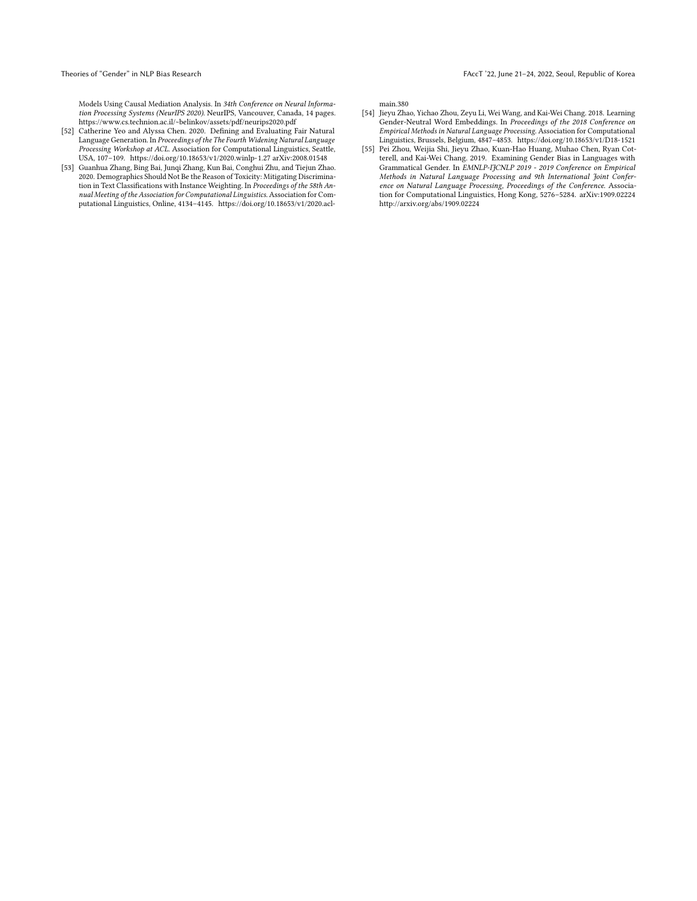Models Using Causal Mediation Analysis. In 34th Conference on Neural Information Processing Systems (NeurIPS 2020). NeurIPS, Vancouver, Canada, 14 pages. <https://www.cs.technion.ac.il/~belinkov/assets/pdf/neurips2020.pdf>

- <span id="page-10-3"></span>[52] Catherine Yeo and Alyssa Chen. 2020. Defining and Evaluating Fair Natural Language Generation. In Proceedings of the The Fourth Widening Natural Language Processing Workshop at ACL. Association for Computational Linguistics, Seattle, USA, 107–109.<https://doi.org/10.18653/v1/2020.winlp-1.27> arXiv[:2008.01548](https://arxiv.org/abs/2008.01548)
- <span id="page-10-2"></span>[53] Guanhua Zhang, Bing Bai, Junqi Zhang, Kun Bai, Conghui Zhu, and Tiejun Zhao. 2020. Demographics Should Not Be the Reason of Toxicity: Mitigating Discrimination in Text Classifications with Instance Weighting. In Proceedings of the 58th Annual Meeting of the Association for Computational Linguistics. Association for Computational Linguistics, Online, 4134–4145. [https://doi.org/10.18653/v1/2020.acl-](https://doi.org/10.18653/v1/2020.acl-main.380)

[main.380](https://doi.org/10.18653/v1/2020.acl-main.380)

- <span id="page-10-1"></span>[54] Jieyu Zhao, Yichao Zhou, Zeyu Li, Wei Wang, and Kai-Wei Chang. 2018. Learning Gender-Neutral Word Embeddings. In Proceedings of the 2018 Conference on Empirical Methods in Natural Language Processing. Association for Computational Linguistics, Brussels, Belgium, 4847–4853.<https://doi.org/10.18653/v1/D18-1521>
- <span id="page-10-0"></span>[55] Pei Zhou, Weijia Shi, Jieyu Zhao, Kuan-Hao Huang, Muhao Chen, Ryan Cotterell, and Kai-Wei Chang. 2019. Examining Gender Bias in Languages with Grammatical Gender. In EMNLP-IJCNLP 2019 - 2019 Conference on Empirical Methods in Natural Language Processing and 9th International Joint Conference on Natural Language Processing, Proceedings of the Conference. Association for Computational Linguistics, Hong Kong, 5276–5284. arXiv[:1909.02224](https://arxiv.org/abs/1909.02224) <http://arxiv.org/abs/1909.02224>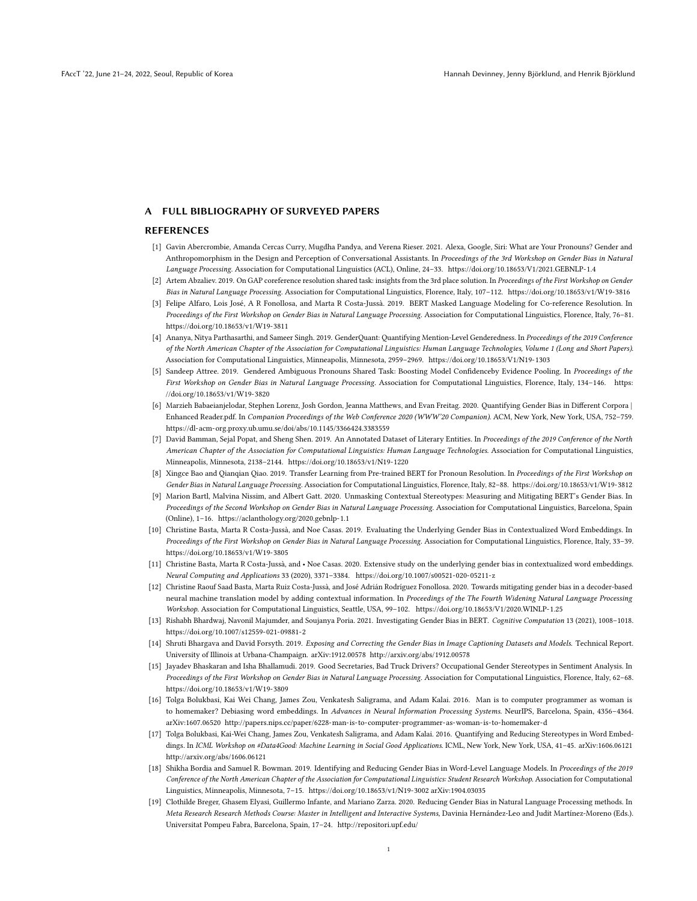### A FULL BIBLIOGRAPHY OF SURVEYED PAPERS

### REFERENCES

- [1] Gavin Abercrombie, Amanda Cercas Curry, Mugdha Pandya, and Verena Rieser. 2021. Alexa, Google, Siri: What are Your Pronouns? Gender and Anthropomorphism in the Design and Perception of Conversational Assistants. In Proceedings of the 3rd Workshop on Gender Bias in Natural Language Processing. Association for Computational Linguistics (ACL), Online, 24–33. https://doi.org/10.18653/V1/2021.GEBNLP-1.4
- [2] Artem Abzaliev. 2019. On GAP coreference resolution shared task: insights from the 3rd place solution. In Proceedings of the First Workshop on Gender Bias in Natural Language Processing. Association for Computational Linguistics, Florence, Italy, 107–112. https://doi.org/10.18653/v1/W19-3816
- [3] Felipe Alfaro, Lois José, A R Fonollosa, and Marta R Costa-Jussà. 2019. BERT Masked Language Modeling for Co-reference Resolution. In Proceedings of the First Workshop on Gender Bias in Natural Language Processing. Association for Computational Linguistics, Florence, Italy, 76–81. https://doi.org/10.18653/v1/W19-3811
- [4] Ananya, Nitya Parthasarthi, and Sameer Singh. 2019. GenderQuant: Quantifying Mention-Level Genderedness. In Proceedings of the 2019 Conference of the North American Chapter of the Association for Computational Linguistics: Human Language Technologies, Volume 1 (Long and Short Papers). Association for Computational Linguistics, Minneapolis, Minnesota, 2959–2969. https://doi.org/10.18653/V1/N19-1303
- [5] Sandeep Attree. 2019. Gendered Ambiguous Pronouns Shared Task: Boosting Model Confidenceby Evidence Pooling. In Proceedings of the First Workshop on Gender Bias in Natural Language Processing. Association for Computational Linguistics, Florence, Italy, 134–146. https: //doi.org/10.18653/v1/W19-3820
- [6] Marzieh Babaeianjelodar, Stephen Lorenz, Josh Gordon, Jeanna Matthews, and Evan Freitag. 2020. Quantifying Gender Bias in Different Corpora | Enhanced Reader.pdf. In Companion Proceedings of the Web Conference 2020 (WWW'20 Companion). ACM, New York, New York, USA, 752–759. https://dl-acm-org.proxy.ub.umu.se/doi/abs/10.1145/3366424.3383559
- [7] David Bamman, Sejal Popat, and Sheng Shen. 2019. An Annotated Dataset of Literary Entities. In Proceedings of the 2019 Conference of the North American Chapter of the Association for Computational Linguistics: Human Language Technologies. Association for Computational Linguistics, Minneapolis, Minnesota, 2138–2144. https://doi.org/10.18653/v1/N19-1220
- [8] Xingce Bao and Qianqian Qiao. 2019. Transfer Learning from Pre-trained BERT for Pronoun Resolution. In Proceedings of the First Workshop on Gender Bias in Natural Language Processing. Association for Computational Linguistics, Florence, Italy, 82–88. https://doi.org/10.18653/v1/W19-3812
- [9] Marion Bartl, Malvina Nissim, and Albert Gatt. 2020. Unmasking Contextual Stereotypes: Measuring and Mitigating BERT's Gender Bias. In Proceedings of the Second Workshop on Gender Bias in Natural Language Processing. Association for Computational Linguistics, Barcelona, Spain (Online), 1–16. https://aclanthology.org/2020.gebnlp-1.1
- [10] Christine Basta, Marta R Costa-Jussà, and Noe Casas. 2019. Evaluating the Underlying Gender Bias in Contextualized Word Embeddings. In Proceedings of the First Workshop on Gender Bias in Natural Language Processing. Association for Computational Linguistics, Florence, Italy, 33–39. https://doi.org/10.18653/v1/W19-3805
- [11] Christine Basta, Marta R Costa-Jussà, and Noe Casas. 2020. Extensive study on the underlying gender bias in contextualized word embeddings. Neural Computing and Applications 33 (2020), 3371–3384. https://doi.org/10.1007/s00521-020-05211-z
- [12] Christine Raouf Saad Basta, Marta Ruiz Costa-Jussà, and José Adrián Rodríguez Fonollosa. 2020. Towards mitigating gender bias in a decoder-based neural machine translation model by adding contextual information. In Proceedings of the The Fourth Widening Natural Language Processing Workshop. Association for Computational Linguistics, Seattle, USA, 99–102. https://doi.org/10.18653/V1/2020.WINLP-1.25
- [13] Rishabh Bhardwaj, Navonil Majumder, and Soujanya Poria. 2021. Investigating Gender Bias in BERT. Cognitive Computation 13 (2021), 1008–1018. https://doi.org/10.1007/s12559-021-09881-2
- [14] Shruti Bhargava and David Forsyth. 2019. Exposing and Correcting the Gender Bias in Image Captioning Datasets and Models. Technical Report. University of Illinois at Urbana-Champaign. arXiv:1912.00578 http://arxiv.org/abs/1912.00578
- [15] Jayadev Bhaskaran and Isha Bhallamudi. 2019. Good Secretaries, Bad Truck Drivers? Occupational Gender Stereotypes in Sentiment Analysis. In Proceedings of the First Workshop on Gender Bias in Natural Language Processing. Association for Computational Linguistics, Florence, Italy, 62–68. https://doi.org/10.18653/v1/W19-3809
- [16] Tolga Bolukbasi, Kai Wei Chang, James Zou, Venkatesh Saligrama, and Adam Kalai. 2016. Man is to computer programmer as woman is to homemaker? Debiasing word embeddings. In Advances in Neural Information Processing Systems. NeurIPS, Barcelona, Spain, 4356-4364. arXiv:1607.06520 http://papers.nips.cc/paper/6228-man-is-to-computer-programmer-as-woman-is-to-homemaker-d
- [17] Tolga Bolukbasi, Kai-Wei Chang, James Zou, Venkatesh Saligrama, and Adam Kalai. 2016. Quantifying and Reducing Stereotypes in Word Embeddings. In ICML Workshop on #Data4Good: Machine Learning in Social Good Applications. ICML, New York, New York, USA, 41–45. arXiv:1606.06121 http://arxiv.org/abs/1606.06121
- [18] Shikha Bordia and Samuel R. Bowman. 2019. Identifying and Reducing Gender Bias in Word-Level Language Models. In Proceedings of the 2019 Conference of the North American Chapter of the Association for Computational Linguistics: Student Research Workshop. Association for Computational Linguistics, Minneapolis, Minnesota, 7–15. https://doi.org/10.18653/v1/N19-3002 arXiv:1904.03035
- [19] Clothilde Breger, Ghasem Elyasi, Guillermo Infante, and Mariano Zarza. 2020. Reducing Gender Bias in Natural Language Processing methods. In Meta Research Research Methods Course: Master in Intelligent and Interactive Systems, Davinia Hernández-Leo and Judit Martínez-Moreno (Eds.). Universitat Pompeu Fabra, Barcelona, Spain, 17–24. http://repositori.upf.edu/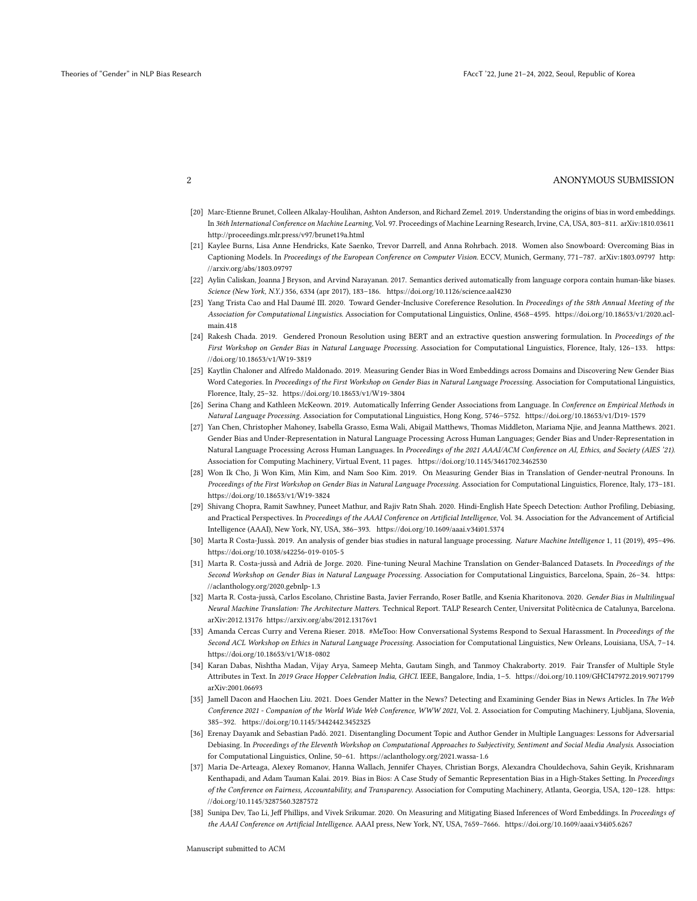- [20] Marc-Etienne Brunet, Colleen Alkalay-Houlihan, Ashton Anderson, and Richard Zemel. 2019. Understanding the origins of bias in word embeddings. In 36th International Conference on Machine Learning, Vol. 97. Proceedings of Machine Learning Research, Irvine, CA, USA, 803–811. arXiv:1810.03611 http://proceedings.mlr.press/v97/brunet19a.html
- [21] Kaylee Burns, Lisa Anne Hendricks, Kate Saenko, Trevor Darrell, and Anna Rohrbach. 2018. Women also Snowboard: Overcoming Bias in Captioning Models. In Proceedings of the European Conference on Computer Vision. ECCV, Munich, Germany, 771–787. arXiv:1803.09797 http: //arxiv.org/abs/1803.09797
- [22] Aylin Caliskan, Joanna J Bryson, and Arvind Narayanan. 2017. Semantics derived automatically from language corpora contain human-like biases. Science (New York, N.Y.) 356, 6334 (apr 2017), 183–186. https://doi.org/10.1126/science.aal4230
- [23] Yang Trista Cao and Hal Daumé III. 2020. Toward Gender-Inclusive Coreference Resolution. In Proceedings of the 58th Annual Meeting of the Association for Computational Linguistics. Association for Computational Linguistics, Online, 4568–4595. https://doi.org/10.18653/v1/2020.aclmain.418
- [24] Rakesh Chada. 2019. Gendered Pronoun Resolution using BERT and an extractive question answering formulation. In Proceedings of the First Workshop on Gender Bias in Natural Language Processing. Association for Computational Linguistics, Florence, Italy, 126–133. https: //doi.org/10.18653/v1/W19-3819
- [25] Kaytlin Chaloner and Alfredo Maldonado. 2019. Measuring Gender Bias in Word Embeddings across Domains and Discovering New Gender Bias Word Categories. In Proceedings of the First Workshop on Gender Bias in Natural Language Processing. Association for Computational Linguistics, Florence, Italy, 25–32. https://doi.org/10.18653/v1/W19-3804
- [26] Serina Chang and Kathleen McKeown. 2019. Automatically Inferring Gender Associations from Language. In Conference on Empirical Methods in Natural Language Processing. Association for Computational Linguistics, Hong Kong, 5746–5752. https://doi.org/10.18653/v1/D19-1579
- [27] Yan Chen, Christopher Mahoney, Isabella Grasso, Esma Wali, Abigail Matthews, Thomas Middleton, Mariama Njie, and Jeanna Matthews. 2021. Gender Bias and Under-Representation in Natural Language Processing Across Human Languages; Gender Bias and Under-Representation in Natural Language Processing Across Human Languages. In Proceedings of the 2021 AAAI/ACM Conference on AI, Ethics, and Society (AIES '21). Association for Computing Machinery, Virtual Event, 11 pages. https://doi.org/10.1145/3461702.3462530
- [28] Won Ik Cho, Ji Won Kim, Min Kim, and Nam Soo Kim. 2019. On Measuring Gender Bias in Translation of Gender-neutral Pronouns. In Proceedings of the First Workshop on Gender Bias in Natural Language Processing. Association for Computational Linguistics, Florence, Italy, 173–181. https://doi.org/10.18653/v1/W19-3824
- [29] Shivang Chopra, Ramit Sawhney, Puneet Mathur, and Rajiv Ratn Shah. 2020. Hindi-English Hate Speech Detection: Author Profiling, Debiasing, and Practical Perspectives. In Proceedings of the AAAI Conference on Artificial Intelligence, Vol. 34. Association for the Advancement of Artificial Intelligence (AAAI), New York, NY, USA, 386–393. https://doi.org/10.1609/aaai.v34i01.5374
- [30] Marta R Costa-Jussà. 2019. An analysis of gender bias studies in natural language processing. Nature Machine Intelligence 1, 11 (2019), 495–496. https://doi.org/10.1038/s42256-019-0105-5
- [31] Marta R. Costa-jussà and Adrià de Jorge. 2020. Fine-tuning Neural Machine Translation on Gender-Balanced Datasets. In Proceedings of the Second Workshop on Gender Bias in Natural Language Processing. Association for Computational Linguistics, Barcelona, Spain, 26–34. https: //aclanthology.org/2020.gebnlp-1.3
- [32] Marta R. Costa-jussà, Carlos Escolano, Christine Basta, Javier Ferrando, Roser Batlle, and Ksenia Kharitonova. 2020. Gender Bias in Multilingual Neural Machine Translation: The Architecture Matters. Technical Report. TALP Research Center, Universitat Politècnica de Catalunya, Barcelona. arXiv:2012.13176 https://arxiv.org/abs/2012.13176v1
- [33] Amanda Cercas Curry and Verena Rieser. 2018. #MeToo: How Conversational Systems Respond to Sexual Harassment. In Proceedings of the Second ACL Workshop on Ethics in Natural Language Processing. Association for Computational Linguistics, New Orleans, Louisiana, USA, 7–14. https://doi.org/10.18653/v1/W18-0802
- [34] Karan Dabas, Nishtha Madan, Vijay Arya, Sameep Mehta, Gautam Singh, and Tanmoy Chakraborty. 2019. Fair Transfer of Multiple Style Attributes in Text. In 2019 Grace Hopper Celebration India, GHCI. IEEE, Bangalore, India, 1–5. https://doi.org/10.1109/GHCI47972.2019.9071799 arXiv:2001.06693
- [35] Jamell Dacon and Haochen Liu. 2021. Does Gender Matter in the News? Detecting and Examining Gender Bias in News Articles. In The Web Conference 2021 - Companion of the World Wide Web Conference, WWW 2021, Vol. 2. Association for Computing Machinery, Ljubljana, Slovenia, 385–392. https://doi.org/10.1145/3442442.3452325
- [36] Erenay Dayanık and Sebastian Padó. 2021. Disentangling Document Topic and Author Gender in Multiple Languages: Lessons for Adversarial Debiasing. In Proceedings of the Eleventh Workshop on Computational Approaches to Subjectivity, Sentiment and Social Media Analysis. Association for Computational Linguistics, Online, 50–61. https://aclanthology.org/2021.wassa-1.6
- [37] Maria De-Arteaga, Alexey Romanov, Hanna Wallach, Jennifer Chayes, Christian Borgs, Alexandra Chouldechova, Sahin Geyik, Krishnaram Kenthapadi, and Adam Tauman Kalai. 2019. Bias in Bios: A Case Study of Semantic Representation Bias in a High-Stakes Setting. In Proceedings of the Conference on Fairness, Accountability, and Transparency. Association for Computing Machinery, Atlanta, Georgia, USA, 120–128. https: //doi.org/10.1145/3287560.3287572
- [38] Sunipa Dev, Tao Li, Jeff Phillips, and Vivek Srikumar. 2020. On Measuring and Mitigating Biased Inferences of Word Embeddings. In Proceedings of the AAAI Conference on Artificial Intelligence. AAAI press, New York, NY, USA, 7659–7666. https://doi.org/10.1609/aaai.v34i05.6267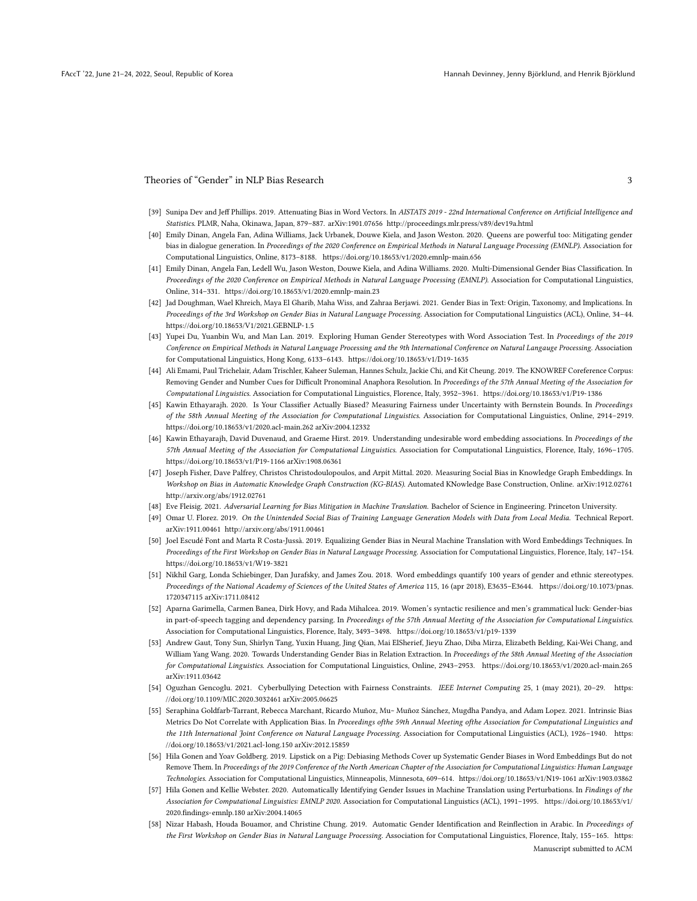- [39] Sunipa Dev and Jeff Phillips. 2019. Attenuating Bias in Word Vectors. In AISTATS 2019 22nd International Conference on Artificial Intelligence and Statistics. PLMR, Naha, Okinawa, Japan, 879–887. arXiv:1901.07656 http://proceedings.mlr.press/v89/dev19a.html
- [40] Emily Dinan, Angela Fan, Adina Williams, Jack Urbanek, Douwe Kiela, and Jason Weston. 2020. Queens are powerful too: Mitigating gender bias in dialogue generation. In Proceedings of the 2020 Conference on Empirical Methods in Natural Language Processing (EMNLP). Association for Computational Linguistics, Online, 8173–8188. https://doi.org/10.18653/v1/2020.emnlp-main.656
- [41] Emily Dinan, Angela Fan, Ledell Wu, Jason Weston, Douwe Kiela, and Adina Williams. 2020. Multi-Dimensional Gender Bias Classification. In Proceedings of the 2020 Conference on Empirical Methods in Natural Language Processing (EMNLP). Association for Computational Linguistics, Online, 314–331. https://doi.org/10.18653/v1/2020.emnlp-main.23
- [42] Jad Doughman, Wael Khreich, Maya El Gharib, Maha Wiss, and Zahraa Berjawi. 2021. Gender Bias in Text: Origin, Taxonomy, and Implications. In Proceedings of the 3rd Workshop on Gender Bias in Natural Language Processing. Association for Computational Linguistics (ACL), Online, 34–44. https://doi.org/10.18653/V1/2021.GEBNLP-1.5
- [43] Yupei Du, Yuanbin Wu, and Man Lan. 2019. Exploring Human Gender Stereotypes with Word Association Test. In Proceedings of the 2019 Conference on Empirical Methods in Natural Language Processing and the 9th International Conference on Natural Langauge Processing. Association for Computational Linguistics, Hong Kong, 6133–6143. https://doi.org/10.18653/v1/D19-1635
- [44] Ali Emami, Paul Trichelair, Adam Trischler, Kaheer Suleman, Hannes Schulz, Jackie Chi, and Kit Cheung. 2019. The KNOWREF Coreference Corpus: Removing Gender and Number Cues for Difficult Pronominal Anaphora Resolution. In Proceedings of the 57th Annual Meeting of the Association for Computational Linguistics. Association for Computational Linguistics, Florence, Italy, 3952–3961. https://doi.org/10.18653/v1/P19-1386
- [45] Kawin Ethayarajh. 2020. Is Your Classifier Actually Biased? Measuring Fairness under Uncertainty with Bernstein Bounds. In Proceedings of the 58th Annual Meeting of the Association for Computational Linguistics. Association for Computational Linguistics, Online, 2914–2919. https://doi.org/10.18653/v1/2020.acl-main.262 arXiv:2004.12332
- [46] Kawin Ethayarajh, David Duvenaud, and Graeme Hirst. 2019. Understanding undesirable word embedding associations. In Proceedings of the 57th Annual Meeting of the Association for Computational Linguistics. Association for Computational Linguistics, Florence, Italy, 1696–1705. https://doi.org/10.18653/v1/P19-1166 arXiv:1908.06361
- [47] Joseph Fisher, Dave Palfrey, Christos Christodoulopoulos, and Arpit Mittal. 2020. Measuring Social Bias in Knowledge Graph Embeddings. In Workshop on Bias in Automatic Knowledge Graph Construction (KG-BIAS). Automated KNowledge Base Construction, Online. arXiv:1912.02761 http://arxiv.org/abs/1912.02761
- [48] Eve Fleisig. 2021. Adversarial Learning for Bias Mitigation in Machine Translation. Bachelor of Science in Engineering. Princeton University.
- [49] Omar U. Florez. 2019. On the Unintended Social Bias of Training Language Generation Models with Data from Local Media. Technical Report. arXiv:1911.00461 http://arxiv.org/abs/1911.00461
- [50] Joel Escudé Font and Marta R Costa-Jussà. 2019. Equalizing Gender Bias in Neural Machine Translation with Word Embeddings Techniques. In Proceedings of the First Workshop on Gender Bias in Natural Language Processing. Association for Computational Linguistics, Florence, Italy, 147–154. https://doi.org/10.18653/v1/W19-3821
- [51] Nikhil Garg, Londa Schiebinger, Dan Jurafsky, and James Zou. 2018. Word embeddings quantify 100 years of gender and ethnic stereotypes. Proceedings of the National Academy of Sciences of the United States of America 115, 16 (apr 2018), E3635–E3644. https://doi.org/10.1073/pnas. 1720347115 arXiv:1711.08412
- [52] Aparna Garimella, Carmen Banea, Dirk Hovy, and Rada Mihalcea. 2019. Women's syntactic resilience and men's grammatical luck: Gender-bias in part-of-speech tagging and dependency parsing. In Proceedings of the 57th Annual Meeting of the Association for Computational Linguistics. Association for Computational Linguistics, Florence, Italy, 3493–3498. https://doi.org/10.18653/v1/p19-1339
- [53] Andrew Gaut, Tony Sun, Shirlyn Tang, Yuxin Huang, Jing Qian, Mai ElSherief, Jieyu Zhao, Diba Mirza, Elizabeth Belding, Kai-Wei Chang, and William Yang Wang. 2020. Towards Understanding Gender Bias in Relation Extraction. In Proceedings of the 58th Annual Meeting of the Association for Computational Linguistics. Association for Computational Linguistics, Online, 2943–2953. https://doi.org/10.18653/v1/2020.acl-main.265 arXiv:1911.03642
- [54] Oguzhan Gencoglu. 2021. Cyberbullying Detection with Fairness Constraints. IEEE Internet Computing 25, 1 (may 2021), 20–29. https: //doi.org/10.1109/MIC.2020.3032461 arXiv:2005.06625
- [55] Seraphina Goldfarb-Tarrant, Rebecca Marchant, Ricardo Muñoz, Mu~ Muñoz Sánchez, Mugdha Pandya, and Adam Lopez. 2021. Intrinsic Bias Metrics Do Not Correlate with Application Bias. In Proceedings ofthe 59th Annual Meeting ofthe Association for Computational Linguistics and the 11th International Joint Conference on Natural Language Processing. Association for Computational Linguistics (ACL), 1926–1940. https: //doi.org/10.18653/v1/2021.acl-long.150 arXiv:2012.15859
- [56] Hila Gonen and Yoav Goldberg. 2019. Lipstick on a Pig: Debiasing Methods Cover up Systematic Gender Biases in Word Embeddings But do not Remove Them. In Proceedings of the 2019 Conference of the North American Chapter of the Association for Computational Linguistics: Human Language Technologies. Association for Computational Linguistics, Minneapolis, Minnesota, 609–614. https://doi.org/10.18653/v1/N19-1061 arXiv:1903.03862
- [57] Hila Gonen and Kellie Webster. 2020. Automatically Identifying Gender Issues in Machine Translation using Perturbations. In Findings of the Association for Computational Linguistics: EMNLP 2020. Association for Computational Linguistics (ACL), 1991–1995. https://doi.org/10.18653/v1/ 2020.findings-emnlp.180 arXiv:2004.14065
- [58] Nizar Habash, Houda Bouamor, and Christine Chung. 2019. Automatic Gender Identification and Reinflection in Arabic. In Proceedings of the First Workshop on Gender Bias in Natural Language Processing. Association for Computational Linguistics, Florence, Italy, 155-165. https: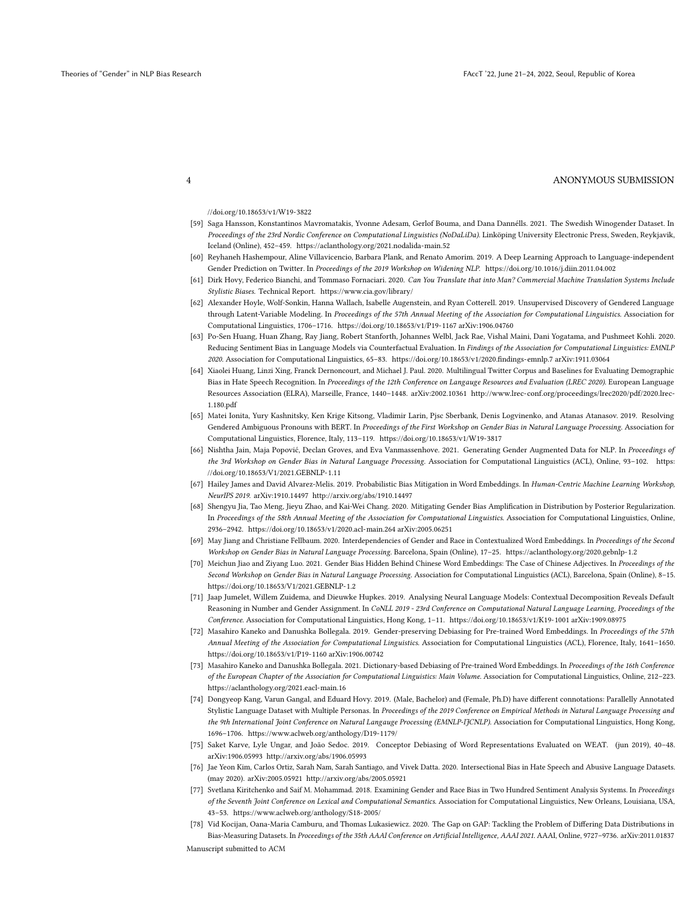//doi.org/10.18653/v1/W19-3822

- [59] Saga Hansson, Konstantinos Mavromatakis, Yvonne Adesam, Gerlof Bouma, and Dana Dannélls. 2021. The Swedish Winogender Dataset. In Proceedings of the 23rd Nordic Conference on Computational Linguistics (NoDaLiDa). Linköping University Electronic Press, Sweden, Reykjavik, Iceland (Online), 452–459. https://aclanthology.org/2021.nodalida-main.52
- [60] Reyhaneh Hashempour, Aline Villavicencio, Barbara Plank, and Renato Amorim. 2019. A Deep Learning Approach to Language-independent Gender Prediction on Twitter. In Proceedings of the 2019 Workshop on Widening NLP. https://doi.org/10.1016/j.diin.2011.04.002
- [61] Dirk Hovy, Federico Bianchi, and Tommaso Fornaciari. 2020. Can You Translate that into Man? Commercial Machine Translation Systems Include Stylistic Biases. Technical Report. https://www.cia.gov/library/
- [62] Alexander Hoyle, Wolf-Sonkin, Hanna Wallach, Isabelle Augenstein, and Ryan Cotterell. 2019. Unsupervised Discovery of Gendered Language through Latent-Variable Modeling. In Proceedings of the 57th Annual Meeting of the Association for Computational Linguistics. Association for Computational Linguistics, 1706–1716. https://doi.org/10.18653/v1/P19-1167 arXiv:1906.04760
- [63] Po-Sen Huang, Huan Zhang, Ray Jiang, Robert Stanforth, Johannes Welbl, Jack Rae, Vishal Maini, Dani Yogatama, and Pushmeet Kohli. 2020. Reducing Sentiment Bias in Language Models via Counterfactual Evaluation. In Findings of the Association for Computational Linguistics: EMNLP 2020. Association for Computational Linguistics, 65–83. https://doi.org/10.18653/v1/2020.findings-emnlp.7 arXiv:1911.03064
- [64] Xiaolei Huang, Linzi Xing, Franck Dernoncourt, and Michael J. Paul. 2020. Multilingual Twitter Corpus and Baselines for Evaluating Demographic Bias in Hate Speech Recognition. In Proceedings of the 12th Conference on Langauge Resources and Evaluation (LREC 2020). European Language Resources Association (ELRA), Marseille, France, 1440–1448. arXiv:2002.10361 http://www.lrec-conf.org/proceedings/lrec2020/pdf/2020.lrec-1.180.pdf
- [65] Matei Ionita, Yury Kashnitsky, Ken Krige Kitsong, Vladimir Larin, Pjsc Sberbank, Denis Logvinenko, and Atanas Atanasov. 2019. Resolving Gendered Ambiguous Pronouns with BERT. In Proceedings of the First Workshop on Gender Bias in Natural Language Processing. Association for Computational Linguistics, Florence, Italy, 113–119. https://doi.org/10.18653/v1/W19-3817
- [66] Nishtha Jain, Maja Popović, Declan Groves, and Eva Vanmassenhove. 2021. Generating Gender Augmented Data for NLP. In Proceedings of the 3rd Workshop on Gender Bias in Natural Language Processing. Association for Computational Linguistics (ACL), Online, 93-102. https: //doi.org/10.18653/V1/2021.GEBNLP-1.11
- [67] Hailey James and David Alvarez-Melis. 2019. Probabilistic Bias Mitigation in Word Embeddings. In Human-Centric Machine Learning Workshop, NeurIPS 2019. arXiv:1910.14497 http://arxiv.org/abs/1910.14497
- [68] Shengyu Jia, Tao Meng, Jieyu Zhao, and Kai-Wei Chang. 2020. Mitigating Gender Bias Amplification in Distribution by Posterior Regularization. In Proceedings of the 58th Annual Meeting of the Association for Computational Linguistics. Association for Computational Linguistics, Online, 2936–2942. https://doi.org/10.18653/v1/2020.acl-main.264 arXiv:2005.06251
- [69] May Jiang and Christiane Fellbaum. 2020. Interdependencies of Gender and Race in Contextualized Word Embeddings. In Proceedings of the Second Workshop on Gender Bias in Natural Language Processing. Barcelona, Spain (Online), 17–25. https://aclanthology.org/2020.gebnlp-1.2
- [70] Meichun Jiao and Ziyang Luo. 2021. Gender Bias Hidden Behind Chinese Word Embeddings: The Case of Chinese Adjectives. In Proceedings of the Second Workshop on Gender Bias in Natural Language Processing. Association for Computational Linguistics (ACL), Barcelona, Spain (Online), 8–15. https://doi.org/10.18653/V1/2021.GEBNLP-1.2
- [71] Jaap Jumelet, Willem Zuidema, and Dieuwke Hupkes. 2019. Analysing Neural Language Models: Contextual Decomposition Reveals Default Reasoning in Number and Gender Assignment. In CoNLL 2019 - 23rd Conference on Computational Natural Language Learning, Proceedings of the Conference. Association for Computational Linguistics, Hong Kong, 1–11. https://doi.org/10.18653/v1/K19-1001 arXiv:1909.08975
- [72] Masahiro Kaneko and Danushka Bollegala. 2019. Gender-preserving Debiasing for Pre-trained Word Embeddings. In Proceedings of the 57th Annual Meeting of the Association for Computational Linguistics. Association for Computational Linguistics (ACL), Florence, Italy, 1641–1650. https://doi.org/10.18653/v1/P19-1160 arXiv:1906.00742
- [73] Masahiro Kaneko and Danushka Bollegala. 2021. Dictionary-based Debiasing of Pre-trained Word Embeddings. In Proceedings of the 16th Conference of the European Chapter of the Association for Computational Linguistics: Main Volume. Association for Computational Linguistics, Online, 212–223. https://aclanthology.org/2021.eacl-main.16
- [74] Dongyeop Kang, Varun Gangal, and Eduard Hovy. 2019. (Male, Bachelor) and (Female, Ph.D) have different connotations: Parallelly Annotated Stylistic Language Dataset with Multiple Personas. In Proceedings of the 2019 Conference on Empirical Methods in Natural Language Processing and the 9th International Joint Conference on Natural Langauge Processing (EMNLP-IJCNLP). Association for Computational Linguistics, Hong Kong, 1696–1706. https://www.aclweb.org/anthology/D19-1179/
- [75] Saket Karve, Lyle Ungar, and João Sedoc. 2019. Conceptor Debiasing of Word Representations Evaluated on WEAT. (jun 2019), 40–48. arXiv:1906.05993 http://arxiv.org/abs/1906.05993
- [76] Jae Yeon Kim, Carlos Ortiz, Sarah Nam, Sarah Santiago, and Vivek Datta. 2020. Intersectional Bias in Hate Speech and Abusive Language Datasets. (may 2020). arXiv:2005.05921 http://arxiv.org/abs/2005.05921
- [77] Svetlana Kiritchenko and Saif M. Mohammad. 2018. Examining Gender and Race Bias in Two Hundred Sentiment Analysis Systems. In Proceedings of the Seventh Joint Conference on Lexical and Computational Semantics. Association for Computational Linguistics, New Orleans, Louisiana, USA, 43–53. https://www.aclweb.org/anthology/S18-2005/
- [78] Vid Kocijan, Oana-Maria Camburu, and Thomas Lukasiewicz. 2020. The Gap on GAP: Tackling the Problem of Differing Data Distributions in Bias-Measuring Datasets. In Proceedings of the 35th AAAI Conference on Artificial Intelligence, AAAI 2021. AAAI, Online, 9727-9736. arXiv:2011.01837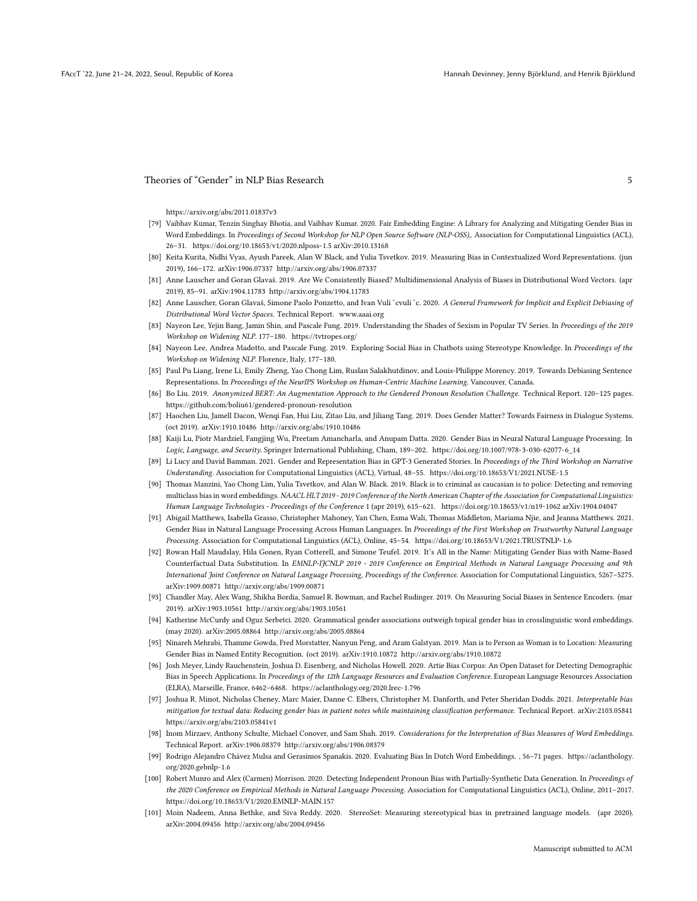https://arxiv.org/abs/2011.01837v3

- [79] Vaibhav Kumar, Tenzin Singhay Bhotia, and Vaibhav Kumar. 2020. Fair Embedding Engine: A Library for Analyzing and Mitigating Gender Bias in Word Embeddings. In Proceedings of Second Workshop for NLP Open Source Software (NLP-OSS),. Association for Computational Linguistics (ACL), 26–31. https://doi.org/10.18653/v1/2020.nlposs-1.5 arXiv:2010.13168
- [80] Keita Kurita, Nidhi Vyas, Ayush Pareek, Alan W Black, and Yulia Tsvetkov. 2019. Measuring Bias in Contextualized Word Representations. (jun 2019), 166–172. arXiv:1906.07337 http://arxiv.org/abs/1906.07337
- [81] Anne Lauscher and Goran Glavaš. 2019. Are We Consistently Biased? Multidimensional Analysis of Biases in Distributional Word Vectors. (apr 2019), 85–91. arXiv:1904.11783 http://arxiv.org/abs/1904.11783
- [82] Anne Lauscher, Goran Glavaš, Simone Paolo Ponzetto, and Ivan Vuli'cvuli'c. 2020. A General Framework for Implicit and Explicit Debiasing of Distributional Word Vector Spaces. Technical Report. www.aaai.org
- [83] Nayeon Lee, Yejin Bang, Jamin Shin, and Pascale Fung. 2019. Understanding the Shades of Sexism in Popular TV Series. In Proceedings of the 2019 Workshop on Widening NLP. 177–180. https://tvtropes.org/
- [84] Nayeon Lee, Andrea Madotto, and Pascale Fung. 2019. Exploring Social Bias in Chatbots using Stereotype Knowledge. In Proceedings of the Workshop on Widening NLP. Florence, Italy, 177–180.
- [85] Paul Pu Liang, Irene Li, Emily Zheng, Yao Chong Lim, Ruslan Salakhutdinov, and Louis-Philippe Morency. 2019. Towards Debiasing Sentence Representations. In Proceedings of the NeurIPS Workshop on Human-Centric Machine Learning. Vancouver, Canada.
- [86] Bo Liu. 2019. Anonymized BERT: An Augmentation Approach to the Gendered Pronoun Resolution Challenge. Technical Report. 120–125 pages. https://github.com/boliu61/gendered-pronoun-resolution
- [87] Haochen Liu, Jamell Dacon, Wenqi Fan, Hui Liu, Zitao Liu, and Jiliang Tang. 2019. Does Gender Matter? Towards Fairness in Dialogue Systems. (oct 2019). arXiv:1910.10486 http://arxiv.org/abs/1910.10486
- [88] Kaiji Lu, Piotr Mardziel, Fangjing Wu, Preetam Amancharla, and Anupam Datta. 2020. Gender Bias in Neural Natural Language Processing. In Logic, Language, and Security. Springer International Publishing, Cham, 189–202. https://doi.org/10.1007/978-3-030-62077-6\_14
- [89] Li Lucy and David Bamman. 2021. Gender and Representation Bias in GPT-3 Generated Stories. In Proceedings of the Third Workshop on Narrative Understanding. Association for Computational Linguistics (ACL), Virtual, 48–55. https://doi.org/10.18653/V1/2021.NUSE-1.5
- [90] Thomas Manzini, Yao Chong Lim, Yulia Tsvetkov, and Alan W. Black. 2019. Black is to criminal as caucasian is to police: Detecting and removing multiclass bias in word embeddings. NAACL HLT 2019 - 2019 Conference of the North American Chapter of the Association for Computational Linguistics: Human Language Technologies - Proceedings of the Conference 1 (apr 2019), 615–621. https://doi.org/10.18653/v1/n19-1062 arXiv:1904.04047
- [91] Abigail Matthews, Isabella Grasso, Christopher Mahoney, Yan Chen, Esma Wali, Thomas Middleton, Mariama Njie, and Jeanna Matthews. 2021. Gender Bias in Natural Language Processing Across Human Languages. In Proceedings of the First Workshop on Trustworthy Natural Language Processing. Association for Computational Linguistics (ACL), Online, 45–54. https://doi.org/10.18653/V1/2021.TRUSTNLP-1.6
- [92] Rowan Hall Maudslay, Hila Gonen, Ryan Cotterell, and Simone Teufel. 2019. It's All in the Name: Mitigating Gender Bias with Name-Based Counterfactual Data Substitution. In EMNLP-IJCNLP 2019 - 2019 Conference on Empirical Methods in Natural Language Processing and 9th International Joint Conference on Natural Language Processing, Proceedings of the Conference. Association for Computational Linguistics, 5267–5275. arXiv:1909.00871 http://arxiv.org/abs/1909.00871
- [93] Chandler May, Alex Wang, Shikha Bordia, Samuel R. Bowman, and Rachel Rudinger. 2019. On Measuring Social Biases in Sentence Encoders. (mar 2019). arXiv:1903.10561 http://arxiv.org/abs/1903.10561
- [94] Katherine McCurdy and Oguz Serbetci. 2020. Grammatical gender associations outweigh topical gender bias in crosslinguistic word embeddings. (may 2020). arXiv:2005.08864 http://arxiv.org/abs/2005.08864
- [95] Ninareh Mehrabi, Thamme Gowda, Fred Morstatter, Nanyun Peng, and Aram Galstyan. 2019. Man is to Person as Woman is to Location: Measuring Gender Bias in Named Entity Recognition. (oct 2019). arXiv:1910.10872 http://arxiv.org/abs/1910.10872
- [96] Josh Meyer, Lindy Rauchenstein, Joshua D. Eisenberg, and Nicholas Howell. 2020. Artie Bias Corpus: An Open Dataset for Detecting Demographic Bias in Speech Applications. In Proceedings of the 12th Language Resources and Evaluation Conference. European Language Resources Association (ELRA), Marseille, France, 6462–6468. https://aclanthology.org/2020.lrec-1.796
- [97] Joshua R. Minot, Nicholas Cheney, Marc Maier, Danne C. Elbers, Christopher M. Danforth, and Peter Sheridan Dodds. 2021. Interpretable bias mitigation for textual data: Reducing gender bias in patient notes while maintaining classification performance. Technical Report. arXiv:2103.05841 https://arxiv.org/abs/2103.05841v1
- [98] Inom Mirzaev, Anthony Schulte, Michael Conover, and Sam Shah. 2019. Considerations for the Interpretation of Bias Measures of Word Embeddings. Technical Report. arXiv:1906.08379 http://arxiv.org/abs/1906.08379
- [99] Rodrigo Alejandro Chávez Mulsa and Gerasimos Spanakis. 2020. Evaluating Bias In Dutch Word Embeddings. , 56–71 pages. https://aclanthology. org/2020.gebnlp-1.6
- [100] Robert Munro and Alex (Carmen) Morrison. 2020. Detecting Independent Pronoun Bias with Partially-Synthetic Data Generation. In Proceedings of the 2020 Conference on Empirical Methods in Natural Language Processing. Association for Computational Linguistics (ACL), Online, 2011–2017. https://doi.org/10.18653/V1/2020.EMNLP-MAIN.157
- [101] Moin Nadeem, Anna Bethke, and Siva Reddy. 2020. StereoSet: Measuring stereotypical bias in pretrained language models. (apr 2020). arXiv:2004.09456 http://arxiv.org/abs/2004.09456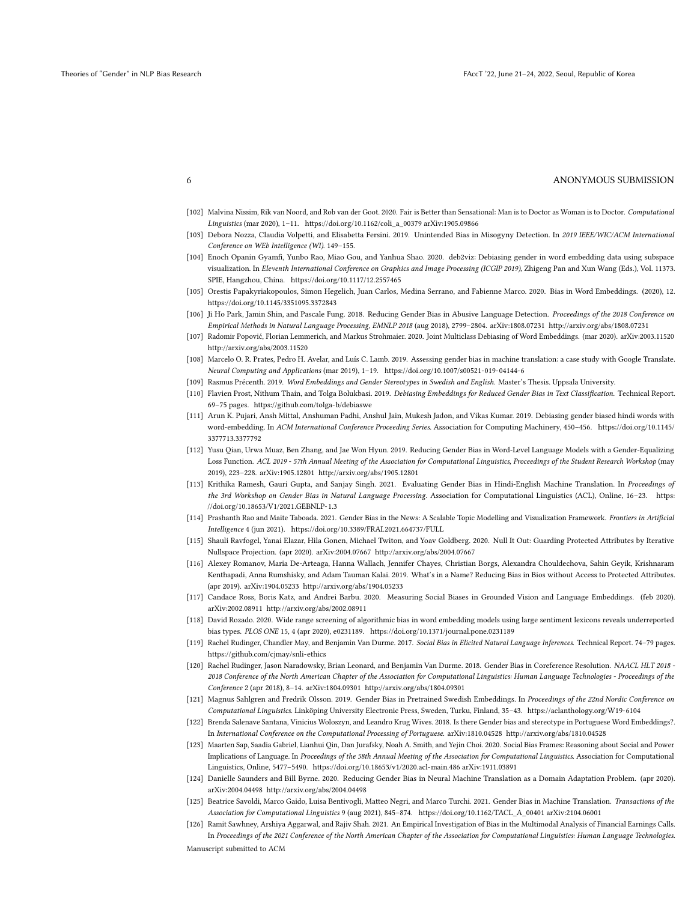- [102] Malvina Nissim, Rik van Noord, and Rob van der Goot. 2020. Fair is Better than Sensational: Man is to Doctor as Woman is to Doctor. Computational Linguistics (mar 2020), 1–11. https://doi.org/10.1162/coli\_a\_00379 arXiv:1905.09866
- [103] Debora Nozza, Claudia Volpetti, and Elisabetta Fersini. 2019. Unintended Bias in Misogyny Detection. In 2019 IEEE/WIC/ACM International Conference on WEb Intelligence (WI). 149–155.
- [104] Enoch Opanin Gyamfi, Yunbo Rao, Miao Gou, and Yanhua Shao. 2020. deb2viz: Debiasing gender in word embedding data using subspace visualization. In Eleventh International Conference on Graphics and Image Processing (ICGIP 2019), Zhigeng Pan and Xun Wang (Eds.), Vol. 11373. SPIE, Hangzhou, China. https://doi.org/10.1117/12.2557465
- [105] Orestis Papakyriakopoulos, Simon Hegelich, Juan Carlos, Medina Serrano, and Fabienne Marco. 2020. Bias in Word Embeddings. (2020), 12. https://doi.org/10.1145/3351095.3372843
- [106] Ji Ho Park, Jamin Shin, and Pascale Fung. 2018. Reducing Gender Bias in Abusive Language Detection. Proceedings of the 2018 Conference on Empirical Methods in Natural Language Processing, EMNLP 2018 (aug 2018), 2799–2804. arXiv:1808.07231 http://arxiv.org/abs/1808.07231
- [107] Radomir Popović, Florian Lemmerich, and Markus Strohmaier. 2020. Joint Multiclass Debiasing of Word Embeddings. (mar 2020). arXiv:2003.11520 http://arxiv.org/abs/2003.11520
- [108] Marcelo O. R. Prates, Pedro H. Avelar, and Luís C. Lamb. 2019. Assessing gender bias in machine translation: a case study with Google Translate. Neural Computing and Applications (mar 2019), 1–19. https://doi.org/10.1007/s00521-019-04144-6
- [109] Rasmus Précenth. 2019. Word Embeddings and Gender Stereotypes in Swedish and English. Master's Thesis. Uppsala University.
- [110] Flavien Prost, Nithum Thain, and Tolga Bolukbasi. 2019. Debiasing Embeddings for Reduced Gender Bias in Text Classification. Technical Report. 69–75 pages. https://github.com/tolga-b/debiaswe
- [111] Arun K. Pujari, Ansh Mittal, Anshuman Padhi, Anshul Jain, Mukesh Jadon, and Vikas Kumar. 2019. Debiasing gender biased hindi words with word-embedding. In ACM International Conference Proceeding Series. Association for Computing Machinery, 450–456. https://doi.org/10.1145/ 3377713.3377792
- [112] Yusu Qian, Urwa Muaz, Ben Zhang, and Jae Won Hyun. 2019. Reducing Gender Bias in Word-Level Language Models with a Gender-Equalizing Loss Function. ACL 2019 - 57th Annual Meeting of the Association for Computational Linguistics, Proceedings of the Student Research Workshop (may 2019), 223–228. arXiv:1905.12801 http://arxiv.org/abs/1905.12801
- [113] Krithika Ramesh, Gauri Gupta, and Sanjay Singh. 2021. Evaluating Gender Bias in Hindi-English Machine Translation. In Proceedings of the 3rd Workshop on Gender Bias in Natural Language Processing. Association for Computational Linguistics (ACL), Online, 16–23. https: //doi.org/10.18653/V1/2021.GEBNLP-1.3
- [114] Prashanth Rao and Maite Taboada. 2021. Gender Bias in the News: A Scalable Topic Modelling and Visualization Framework. Frontiers in Artificial Intelligence 4 (jun 2021). https://doi.org/10.3389/FRAI.2021.664737/FULL
- [115] Shauli Ravfogel, Yanai Elazar, Hila Gonen, Michael Twiton, and Yoav Goldberg. 2020. Null It Out: Guarding Protected Attributes by Iterative Nullspace Projection. (apr 2020). arXiv:2004.07667 http://arxiv.org/abs/2004.07667
- [116] Alexey Romanov, Maria De-Arteaga, Hanna Wallach, Jennifer Chayes, Christian Borgs, Alexandra Chouldechova, Sahin Geyik, Krishnaram Kenthapadi, Anna Rumshisky, and Adam Tauman Kalai. 2019. What's in a Name? Reducing Bias in Bios without Access to Protected Attributes. (apr 2019). arXiv:1904.05233 http://arxiv.org/abs/1904.05233
- [117] Candace Ross, Boris Katz, and Andrei Barbu. 2020. Measuring Social Biases in Grounded Vision and Language Embeddings. (feb 2020). arXiv:2002.08911 http://arxiv.org/abs/2002.08911
- [118] David Rozado. 2020. Wide range screening of algorithmic bias in word embedding models using large sentiment lexicons reveals underreported bias types. PLOS ONE 15, 4 (apr 2020), e0231189. https://doi.org/10.1371/journal.pone.0231189
- [119] Rachel Rudinger, Chandler May, and Benjamin Van Durme. 2017. Social Bias in Elicited Natural Language Inferences. Technical Report. 74–79 pages. https://github.com/cjmay/snli-ethics
- [120] Rachel Rudinger, Jason Naradowsky, Brian Leonard, and Benjamin Van Durme. 2018. Gender Bias in Coreference Resolution. NAACL HLT 2018 -2018 Conference of the North American Chapter of the Association for Computational Linguistics: Human Language Technologies - Proceedings of the Conference 2 (apr 2018), 8–14. arXiv:1804.09301 http://arxiv.org/abs/1804.09301
- [121] Magnus Sahlgren and Fredrik Olsson. 2019. Gender Bias in Pretrained Swedish Embeddings. In Proceedings of the 22nd Nordic Conference on Computational Linguistics. Linköping University Electronic Press, Sweden, Turku, Finland, 35–43. https://aclanthology.org/W19-6104
- [122] Brenda Salenave Santana, Vinicius Woloszyn, and Leandro Krug Wives. 2018. Is there Gender bias and stereotype in Portuguese Word Embeddings?. In International Conference on the Computational Processing of Portuguese. arXiv:1810.04528 http://arxiv.org/abs/1810.04528
- [123] Maarten Sap, Saadia Gabriel, Lianhui Qin, Dan Jurafsky, Noah A. Smith, and Yejin Choi. 2020. Social Bias Frames: Reasoning about Social and Power Implications of Language. In Proceedings of the 58th Annual Meeting of the Association for Computational Linguistics. Association for Computational Linguistics, Online, 5477–5490. https://doi.org/10.18653/v1/2020.acl-main.486 arXiv:1911.03891
- [124] Danielle Saunders and Bill Byrne. 2020. Reducing Gender Bias in Neural Machine Translation as a Domain Adaptation Problem. (apr 2020). arXiv:2004.04498 http://arxiv.org/abs/2004.04498
- [125] Beatrice Savoldi, Marco Gaido, Luisa Bentivogli, Matteo Negri, and Marco Turchi. 2021. Gender Bias in Machine Translation. Transactions of the Association for Computational Linguistics 9 (aug 2021), 845–874. https://doi.org/10.1162/TACL\_A\_00401 arXiv:2104.06001
- [126] Ramit Sawhney, Arshiya Aggarwal, and Rajiv Shah. 2021. An Empirical Investigation of Bias in the Multimodal Analysis of Financial Earnings Calls. In Proceedings of the 2021 Conference of the North American Chapter of the Association for Computational Linguistics: Human Language Technologies.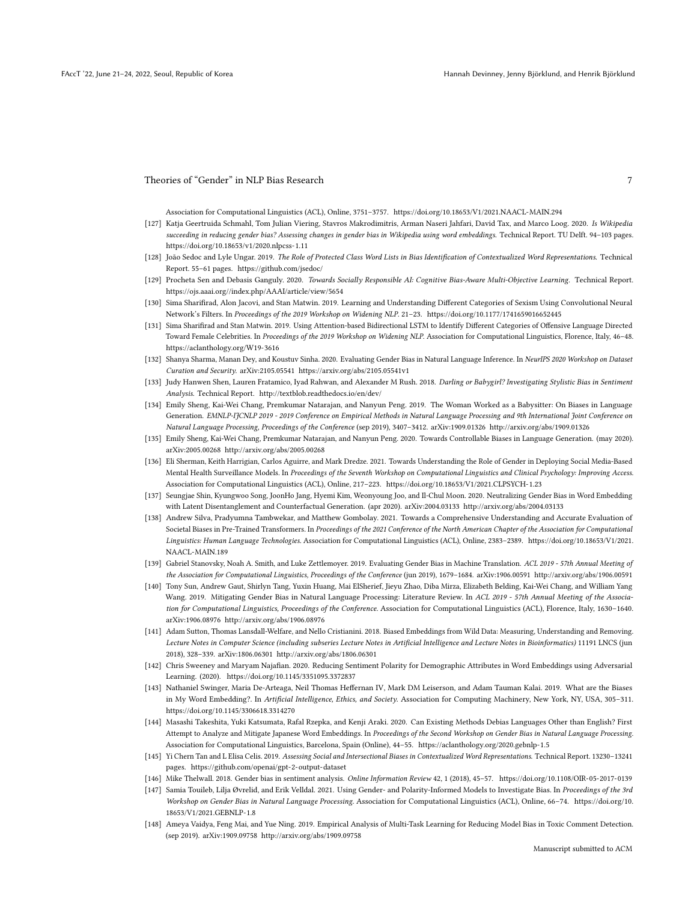Association for Computational Linguistics (ACL), Online, 3751–3757. https://doi.org/10.18653/V1/2021.NAACL-MAIN.294

- [127] Katja Geertruida Schmahl, Tom Julian Viering, Stavros Makrodimitris, Arman Naseri Jahfari, David Tax, and Marco Loog. 2020. Is Wikipedia succeeding in reducing gender bias? Assessing changes in gender bias in Wikipedia using word embeddings. Technical Report. TU Delft. 94–103 pages. https://doi.org/10.18653/v1/2020.nlpcss-1.11
- [128] João Sedoc and Lyle Ungar. 2019. The Role of Protected Class Word Lists in Bias Identification of Contextualized Word Representations. Technical Report. 55–61 pages. https://github.com/jsedoc/
- [129] Procheta Sen and Debasis Ganguly. 2020. Towards Socially Responsible AI: Cognitive Bias-Aware Multi-Objective Learning. Technical Report. https://ojs.aaai.org//index.php/AAAI/article/view/5654
- [130] Sima Sharifirad, Alon Jacovi, and Stan Matwin. 2019. Learning and Understanding Different Categories of Sexism Using Convolutional Neural Network's Filters. In Proceedings of the 2019 Workshop on Widening NLP. 21–23. https://doi.org/10.1177/1741659016652445
- [131] Sima Sharifirad and Stan Matwin. 2019. Using Attention-based Bidirectional LSTM to Identify Different Categories of Offensive Language Directed Toward Female Celebrities. In Proceedings of the 2019 Workshop on Widening NLP. Association for Computational Linguistics, Florence, Italy, 46–48. https://aclanthology.org/W19-3616
- [132] Shanya Sharma, Manan Dey, and Koustuv Sinha. 2020. Evaluating Gender Bias in Natural Language Inference. In NeurIPS 2020 Workshop on Dataset Curation and Security. arXiv:2105.05541 https://arxiv.org/abs/2105.05541v1
- [133] Judy Hanwen Shen, Lauren Fratamico, Iyad Rahwan, and Alexander M Rush. 2018. Darling or Babygirl? Investigating Stylistic Bias in Sentiment Analysis. Technical Report. http://textblob.readthedocs.io/en/dev/
- [134] Emily Sheng, Kai-Wei Chang, Premkumar Natarajan, and Nanyun Peng. 2019. The Woman Worked as a Babysitter: On Biases in Language Generation. EMNLP-IJCNLP 2019 - 2019 Conference on Empirical Methods in Natural Language Processing and 9th International Joint Conference on Natural Language Processing, Proceedings of the Conference (sep 2019), 3407–3412. arXiv:1909.01326 http://arxiv.org/abs/1909.01326
- [135] Emily Sheng, Kai-Wei Chang, Premkumar Natarajan, and Nanyun Peng. 2020. Towards Controllable Biases in Language Generation. (may 2020). arXiv:2005.00268 http://arxiv.org/abs/2005.00268
- [136] Eli Sherman, Keith Harrigian, Carlos Aguirre, and Mark Dredze. 2021. Towards Understanding the Role of Gender in Deploying Social Media-Based Mental Health Surveillance Models. In Proceedings of the Seventh Workshop on Computational Linguistics and Clinical Psychology: Improving Access. Association for Computational Linguistics (ACL), Online, 217–223. https://doi.org/10.18653/V1/2021.CLPSYCH-1.23
- [137] Seungjae Shin, Kyungwoo Song, JoonHo Jang, Hyemi Kim, Weonyoung Joo, and Il-Chul Moon. 2020. Neutralizing Gender Bias in Word Embedding with Latent Disentanglement and Counterfactual Generation. (apr 2020). arXiv:2004.03133 http://arxiv.org/abs/2004.03133
- [138] Andrew Silva, Pradyumna Tambwekar, and Matthew Gombolay. 2021. Towards a Comprehensive Understanding and Accurate Evaluation of Societal Biases in Pre-Trained Transformers. In Proceedings of the 2021 Conference of the North American Chapter of the Association for Computational Linguistics: Human Language Technologies. Association for Computational Linguistics (ACL), Online, 2383–2389. https://doi.org/10.18653/V1/2021. NAACL-MAIN.189
- [139] Gabriel Stanovsky, Noah A. Smith, and Luke Zettlemoyer. 2019. Evaluating Gender Bias in Machine Translation. ACL 2019 57th Annual Meeting of the Association for Computational Linguistics, Proceedings of the Conference (jun 2019), 1679–1684. arXiv:1906.00591 http://arxiv.org/abs/1906.00591
- [140] Tony Sun, Andrew Gaut, Shirlyn Tang, Yuxin Huang, Mai ElSherief, Jieyu Zhao, Diba Mirza, Elizabeth Belding, Kai-Wei Chang, and William Yang Wang. 2019. Mitigating Gender Bias in Natural Language Processing: Literature Review. In ACL 2019 - 57th Annual Meeting of the Association for Computational Linguistics, Proceedings of the Conference. Association for Computational Linguistics (ACL), Florence, Italy, 1630–1640. arXiv:1906.08976 http://arxiv.org/abs/1906.08976
- [141] Adam Sutton, Thomas Lansdall-Welfare, and Nello Cristianini. 2018. Biased Embeddings from Wild Data: Measuring, Understanding and Removing. Lecture Notes in Computer Science (including subseries Lecture Notes in Artificial Intelligence and Lecture Notes in Bioinformatics) 11191 LNCS (jun 2018), 328–339. arXiv:1806.06301 http://arxiv.org/abs/1806.06301
- [142] Chris Sweeney and Maryam Najafian. 2020. Reducing Sentiment Polarity for Demographic Attributes in Word Embeddings using Adversarial Learning. (2020). https://doi.org/10.1145/3351095.3372837
- [143] Nathaniel Swinger, Maria De-Arteaga, Neil Thomas Heffernan IV, Mark DM Leiserson, and Adam Tauman Kalai. 2019. What are the Biases in My Word Embedding?. In Artificial Intelligence, Ethics, and Society. Association for Computing Machinery, New York, NY, USA, 305–311. https://doi.org/10.1145/3306618.3314270
- [144] Masashi Takeshita, Yuki Katsumata, Rafal Rzepka, and Kenji Araki. 2020. Can Existing Methods Debias Languages Other than English? First Attempt to Analyze and Mitigate Japanese Word Embeddings. In Proceedings of the Second Workshop on Gender Bias in Natural Language Processing. Association for Computational Linguistics, Barcelona, Spain (Online), 44–55. https://aclanthology.org/2020.gebnlp-1.5
- [145] Yi Chern Tan and L Elisa Celis. 2019. Assessing Social and Intersectional Biases in Contextualized Word Representations. Technical Report. 13230–13241 pages. https://github.com/openai/gpt-2-output-dataset
- [146] Mike Thelwall. 2018. Gender bias in sentiment analysis. Online Information Review 42, 1 (2018), 45–57. https://doi.org/10.1108/OIR-05-2017-0139
- [147] Samia Touileb, Lilja Øvrelid, and Erik Velldal. 2021. Using Gender- and Polarity-Informed Models to Investigate Bias. In Proceedings of the 3rd Workshop on Gender Bias in Natural Language Processing. Association for Computational Linguistics (ACL), Online, 66–74. https://doi.org/10. 18653/V1/2021.GEBNLP-1.8
- [148] Ameya Vaidya, Feng Mai, and Yue Ning. 2019. Empirical Analysis of Multi-Task Learning for Reducing Model Bias in Toxic Comment Detection. (sep 2019). arXiv:1909.09758 http://arxiv.org/abs/1909.09758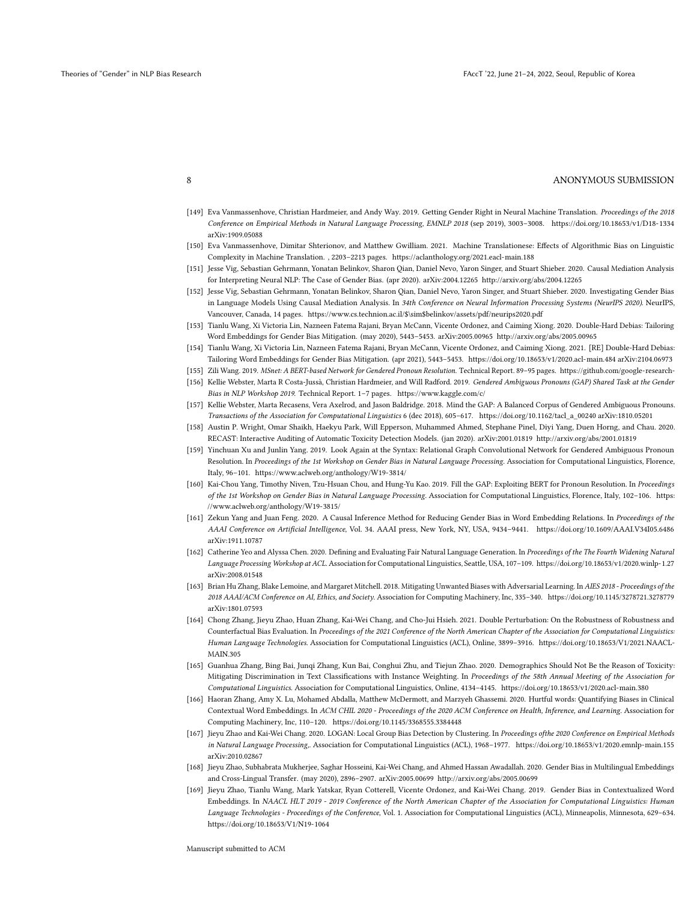- [149] Eva Vanmassenhove, Christian Hardmeier, and Andy Way. 2019. Getting Gender Right in Neural Machine Translation. Proceedings of the 2018 Conference on Empirical Methods in Natural Language Processing, EMNLP 2018 (sep 2019), 3003–3008. https://doi.org/10.18653/v1/D18-1334 arXiv:1909.05088
- [150] Eva Vanmassenhove, Dimitar Shterionov, and Matthew Gwilliam. 2021. Machine Translationese: Effects of Algorithmic Bias on Linguistic Complexity in Machine Translation. , 2203–2213 pages. https://aclanthology.org/2021.eacl-main.188
- [151] Jesse Vig, Sebastian Gehrmann, Yonatan Belinkov, Sharon Qian, Daniel Nevo, Yaron Singer, and Stuart Shieber. 2020. Causal Mediation Analysis for Interpreting Neural NLP: The Case of Gender Bias. (apr 2020). arXiv:2004.12265 http://arxiv.org/abs/2004.12265
- [152] Jesse Vig, Sebastian Gehrmann, Yonatan Belinkov, Sharon Qian, Daniel Nevo, Yaron Singer, and Stuart Shieber. 2020. Investigating Gender Bias in Language Models Using Causal Mediation Analysis. In 34th Conference on Neural Information Processing Systems (NeurIPS 2020). NeurIPS, Vancouver, Canada, 14 pages. https://www.cs.technion.ac.il/\$\sim\$belinkov/assets/pdf/neurips2020.pdf
- [153] Tianlu Wang, Xi Victoria Lin, Nazneen Fatema Rajani, Bryan McCann, Vicente Ordonez, and Caiming Xiong. 2020. Double-Hard Debias: Tailoring Word Embeddings for Gender Bias Mitigation. (may 2020), 5443–5453. arXiv:2005.00965 http://arxiv.org/abs/2005.00965
- [154] Tianlu Wang, Xi Victoria Lin, Nazneen Fatema Rajani, Bryan McCann, Vicente Ordonez, and Caiming Xiong. 2021. [RE] Double-Hard Debias:

Tailoring Word Embeddings for Gender Bias Mitigation. (apr 2021), 5443–5453. https://doi.org/10.18653/v1/2020.acl-main.484 arXiv:2104.06973 [155] Zili Wang. 2019. MSnet: A BERT-based Network for Gendered Pronoun Resolution. Technical Report. 89–95 pages. https://github.com/google-research-

- [156] Kellie Webster, Marta R Costa-Jussà, Christian Hardmeier, and Will Radford. 2019. Gendered Ambiguous Pronouns (GAP) Shared Task at the Gender Bias in NLP Workshop 2019. Technical Report. 1–7 pages. https://www.kaggle.com/c/
- [157] Kellie Webster, Marta Recasens, Vera Axelrod, and Jason Baldridge. 2018. Mind the GAP: A Balanced Corpus of Gendered Ambiguous Pronouns. Transactions of the Association for Computational Linguistics 6 (dec 2018), 605–617. https://doi.org/10.1162/tacl\_a\_00240 arXiv:1810.05201
- [158] Austin P. Wright, Omar Shaikh, Haekyu Park, Will Epperson, Muhammed Ahmed, Stephane Pinel, Diyi Yang, Duen Horng, and Chau. 2020. RECAST: Interactive Auditing of Automatic Toxicity Detection Models. (jan 2020). arXiv:2001.01819 http://arxiv.org/abs/2001.01819
- [159] Yinchuan Xu and Junlin Yang. 2019. Look Again at the Syntax: Relational Graph Convolutional Network for Gendered Ambiguous Pronoun Resolution. In Proceedings of the 1st Workshop on Gender Bias in Natural Language Processing. Association for Computational Linguistics, Florence, Italy, 96–101. https://www.aclweb.org/anthology/W19-3814/
- [160] Kai-Chou Yang, Timothy Niven, Tzu-Hsuan Chou, and Hung-Yu Kao. 2019. Fill the GAP: Exploiting BERT for Pronoun Resolution. In Proceedings of the 1st Workshop on Gender Bias in Natural Language Processing. Association for Computational Linguistics, Florence, Italy, 102–106. https: //www.aclweb.org/anthology/W19-3815/
- [161] Zekun Yang and Juan Feng. 2020. A Causal Inference Method for Reducing Gender Bias in Word Embedding Relations. In Proceedings of the AAAI Conference on Artificial Intelligence, Vol. 34. AAAI press, New York, NY, USA, 9434–9441. https://doi.org/10.1609/AAAI.V34I05.6486 arXiv:1911.10787
- [162] Catherine Yeo and Alyssa Chen. 2020. Defining and Evaluating Fair Natural Language Generation. In Proceedings of the The Fourth Widening Natural Language Processing Workshop at ACL. Association for Computational Linguistics, Seattle, USA, 107–109. https://doi.org/10.18653/v1/2020.winlp-1.27 arXiv:2008.01548
- [163] Brian Hu Zhang, Blake Lemoine, and Margaret Mitchell. 2018. Mitigating Unwanted Biases with Adversarial Learning. In AIES 2018 Proceedings of the 2018 AAAI/ACM Conference on AI, Ethics, and Society. Association for Computing Machinery, Inc, 335–340. https://doi.org/10.1145/3278721.3278779 arXiv:1801.07593
- [164] Chong Zhang, Jieyu Zhao, Huan Zhang, Kai-Wei Chang, and Cho-Jui Hsieh. 2021. Double Perturbation: On the Robustness of Robustness and Counterfactual Bias Evaluation. In Proceedings of the 2021 Conference of the North American Chapter of the Association for Computational Linguistics: Human Language Technologies. Association for Computational Linguistics (ACL), Online, 3899–3916. https://doi.org/10.18653/V1/2021.NAACL-MAIN.305
- [165] Guanhua Zhang, Bing Bai, Junqi Zhang, Kun Bai, Conghui Zhu, and Tiejun Zhao. 2020. Demographics Should Not Be the Reason of Toxicity: Mitigating Discrimination in Text Classifications with Instance Weighting. In Proceedings of the 58th Annual Meeting of the Association for Computational Linguistics. Association for Computational Linguistics, Online, 4134–4145. https://doi.org/10.18653/v1/2020.acl-main.380
- [166] Haoran Zhang, Amy X. Lu, Mohamed Abdalla, Matthew McDermott, and Marzyeh Ghassemi. 2020. Hurtful words: Quantifying Biases in Clinical Contextual Word Embeddings. In ACM CHIL 2020 - Proceedings of the 2020 ACM Conference on Health, Inference, and Learning. Association for Computing Machinery, Inc, 110–120. https://doi.org/10.1145/3368555.3384448
- [167] Jieyu Zhao and Kai-Wei Chang. 2020. LOGAN: Local Group Bias Detection by Clustering. In Proceedings ofthe 2020 Conference on Empirical Methods in Natural Language Processing,. Association for Computational Linguistics (ACL), 1968–1977. https://doi.org/10.18653/v1/2020.emnlp-main.155 arXiv:2010.02867
- [168] Jieyu Zhao, Subhabrata Mukherjee, Saghar Hosseini, Kai-Wei Chang, and Ahmed Hassan Awadallah. 2020. Gender Bias in Multilingual Embeddings and Cross-Lingual Transfer. (may 2020), 2896–2907. arXiv:2005.00699 http://arxiv.org/abs/2005.00699
- [169] Jieyu Zhao, Tianlu Wang, Mark Yatskar, Ryan Cotterell, Vicente Ordonez, and Kai-Wei Chang. 2019. Gender Bias in Contextualized Word Embeddings. In NAACL HLT 2019 - 2019 Conference of the North American Chapter of the Association for Computational Linguistics: Human Language Technologies - Proceedings of the Conference, Vol. 1. Association for Computational Linguistics (ACL), Minneapolis, Minnesota, 629–634. https://doi.org/10.18653/V1/N19-1064